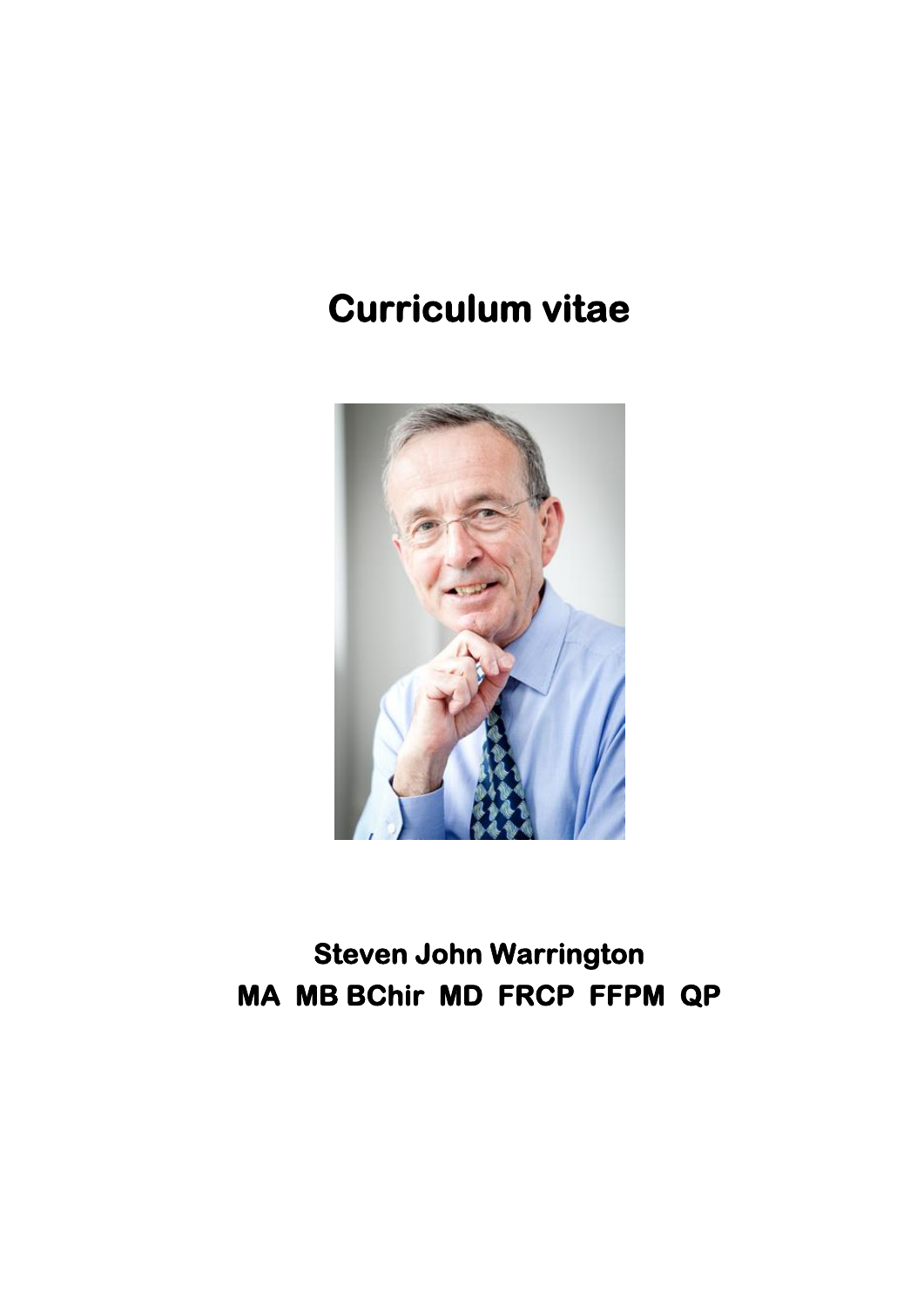# **Curriculum vitae**



**Steven John Warrington MA MB BChir MD FRCP FFPM QP**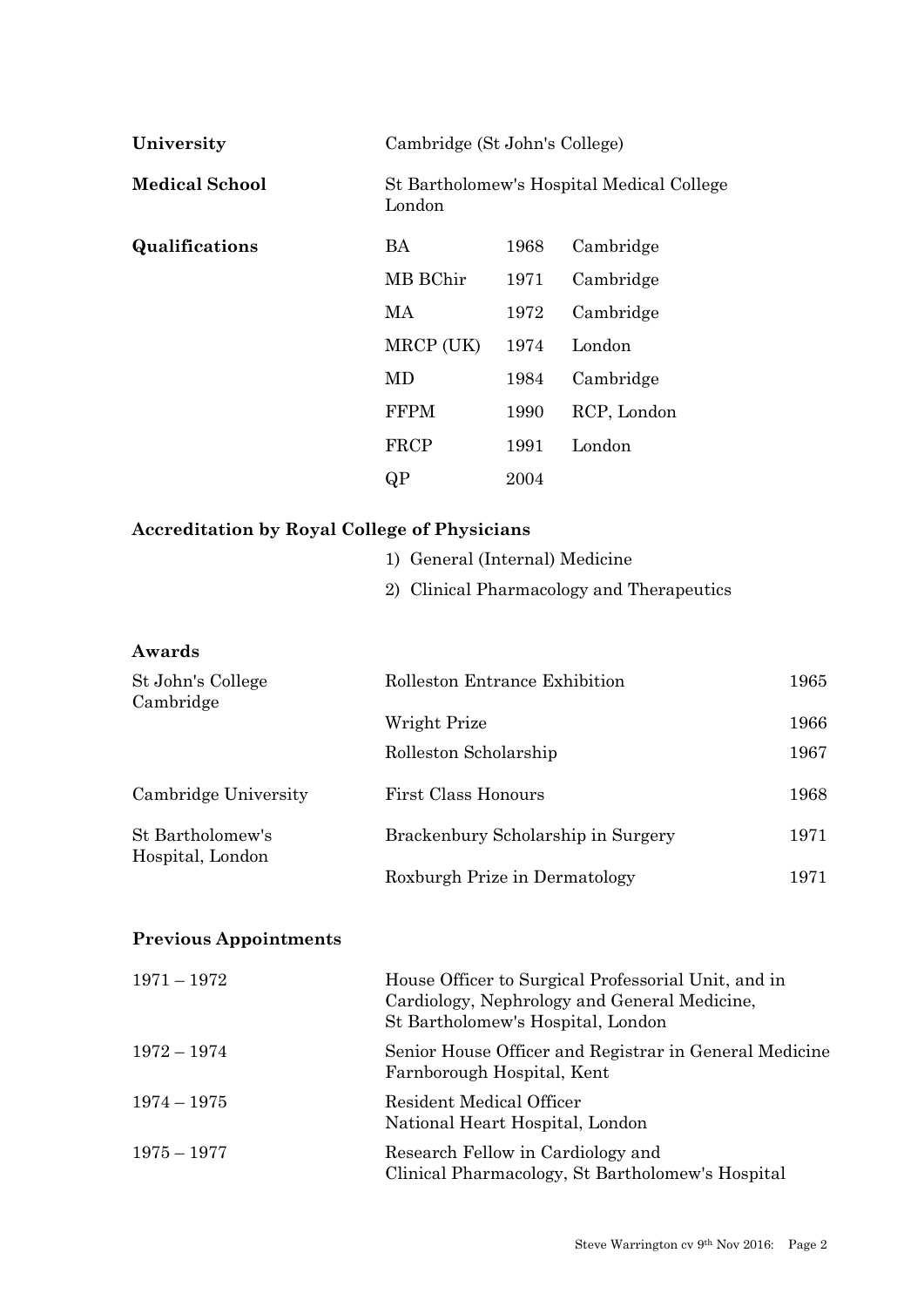| University            | Cambridge (St John's College) |      |                                           |
|-----------------------|-------------------------------|------|-------------------------------------------|
| <b>Medical School</b> | London                        |      | St Bartholomew's Hospital Medical College |
| Qualifications        | BA                            | 1968 | Cambridge                                 |
|                       | MB BChir                      | 1971 | Cambridge                                 |
|                       | МA                            | 1972 | Cambridge                                 |
|                       | MRCP (UK)                     | 1974 | London                                    |
|                       | MD                            | 1984 | Cambridge                                 |
|                       | <b>FFPM</b>                   | 1990 | RCP, London                               |
|                       | FRCP                          | 1991 | London                                    |
|                       | QP                            | 2004 |                                           |

# **Accreditation by Royal College of Physicians**

|  |  |  | 1) General (Internal) Medicine |
|--|--|--|--------------------------------|
|--|--|--|--------------------------------|

2) Clinical Pharmacology and Therapeutics

| Awards                               |                                    |      |
|--------------------------------------|------------------------------------|------|
| St John's College<br>Cambridge       | Rolleston Entrance Exhibition      | 1965 |
|                                      | Wright Prize                       | 1966 |
|                                      | Rolleston Scholarship              | 1967 |
| Cambridge University                 | First Class Honours                | 1968 |
| St Bartholomew's<br>Hospital, London | Brackenbury Scholarship in Surgery | 1971 |
|                                      | Roxburgh Prize in Dermatology      | 1971 |

# **Previous Appointments**

| $1971 - 1972$ | House Officer to Surgical Professorial Unit, and in<br>Cardiology, Nephrology and General Medicine,<br>St Bartholomew's Hospital, London |
|---------------|------------------------------------------------------------------------------------------------------------------------------------------|
| $1972 - 1974$ | Senior House Officer and Registrar in General Medicine<br>Farnborough Hospital, Kent                                                     |
| $1974 - 1975$ | Resident Medical Officer<br>National Heart Hospital, London                                                                              |
| $1975 - 1977$ | Research Fellow in Cardiology and<br>Clinical Pharmacology, St Bartholomew's Hospital                                                    |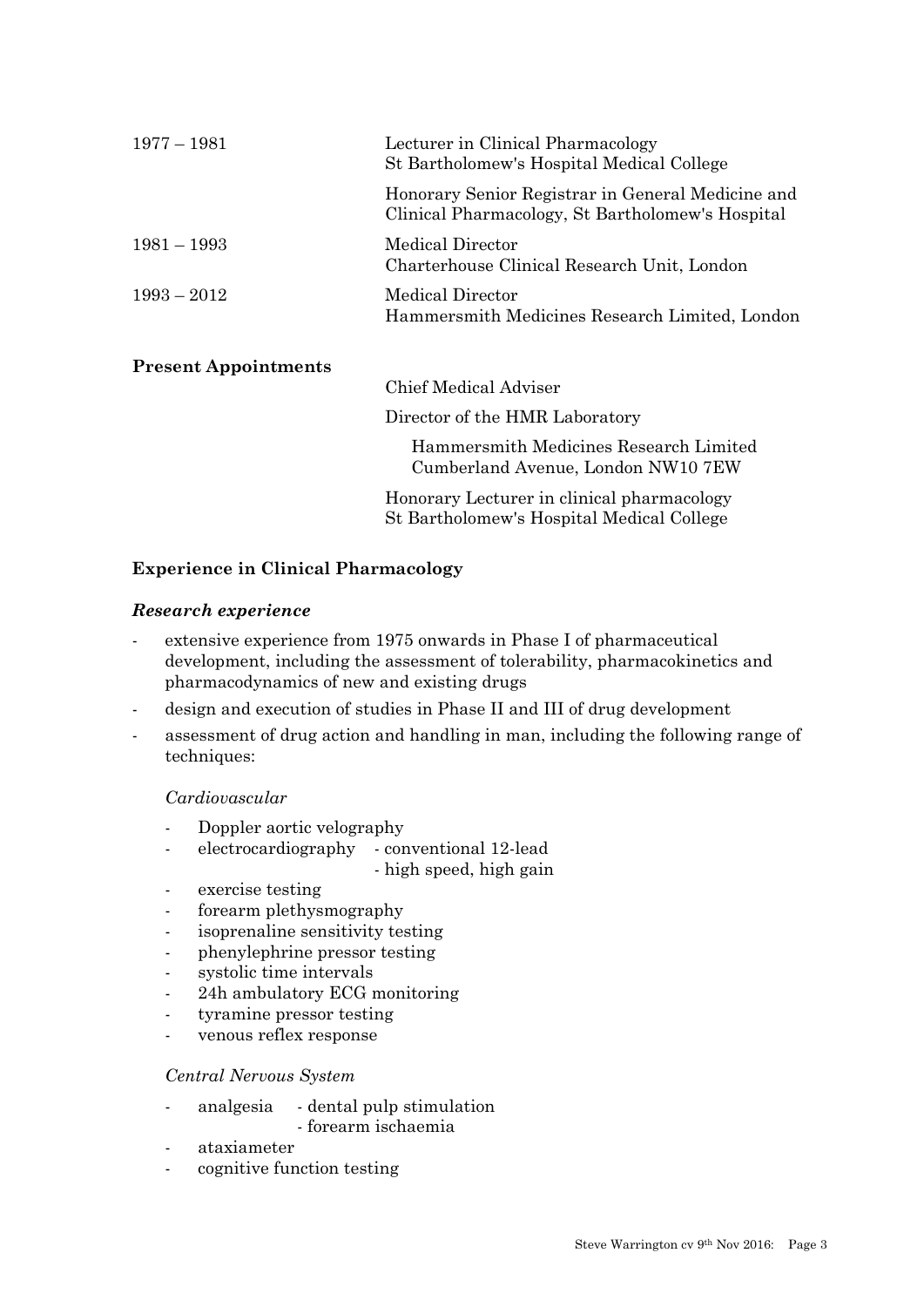| $1977 - 1981$               | Lecturer in Clinical Pharmacology<br>St Bartholomew's Hospital Medical College                        |
|-----------------------------|-------------------------------------------------------------------------------------------------------|
|                             | Honorary Senior Registrar in General Medicine and<br>Clinical Pharmacology, St Bartholomew's Hospital |
| $1981 - 1993$               | Medical Director<br>Charterhouse Clinical Research Unit, London                                       |
| $1993 - 2012$               | Medical Director<br>Hammersmith Medicines Research Limited, London                                    |
| <b>Present Appointments</b> |                                                                                                       |
|                             | Chief Medical Adviser                                                                                 |
|                             | Director of the HMR Laboratory                                                                        |
|                             | Hammersmith Medicines Research Limited<br>Cumberland Avenue, London NW10 7EW                          |

Honorary Lecturer in clinical pharmacology St Bartholomew's Hospital Medical College

**Experience in Clinical Pharmacology**

#### *Research experience*

- extensive experience from 1975 onwards in Phase I of pharmaceutical development, including the assessment of tolerability, pharmacokinetics and pharmacodynamics of new and existing drugs
- design and execution of studies in Phase II and III of drug development
- assessment of drug action and handling in man, including the following range of techniques:

#### *Cardiovascular*

- Doppler aortic velography
- electrocardiography conventional 12-lead
	- high speed, high gain
- exercise testing
- forearm plethysmography
- isoprenaline sensitivity testing
- phenylephrine pressor testing
- systolic time intervals
- 24h ambulatory ECG monitoring
- tyramine pressor testing
- venous reflex response

#### *Central Nervous System*

- analgesia dental pulp stimulation
	- forearm ischaemia
- ataxiameter
- cognitive function testing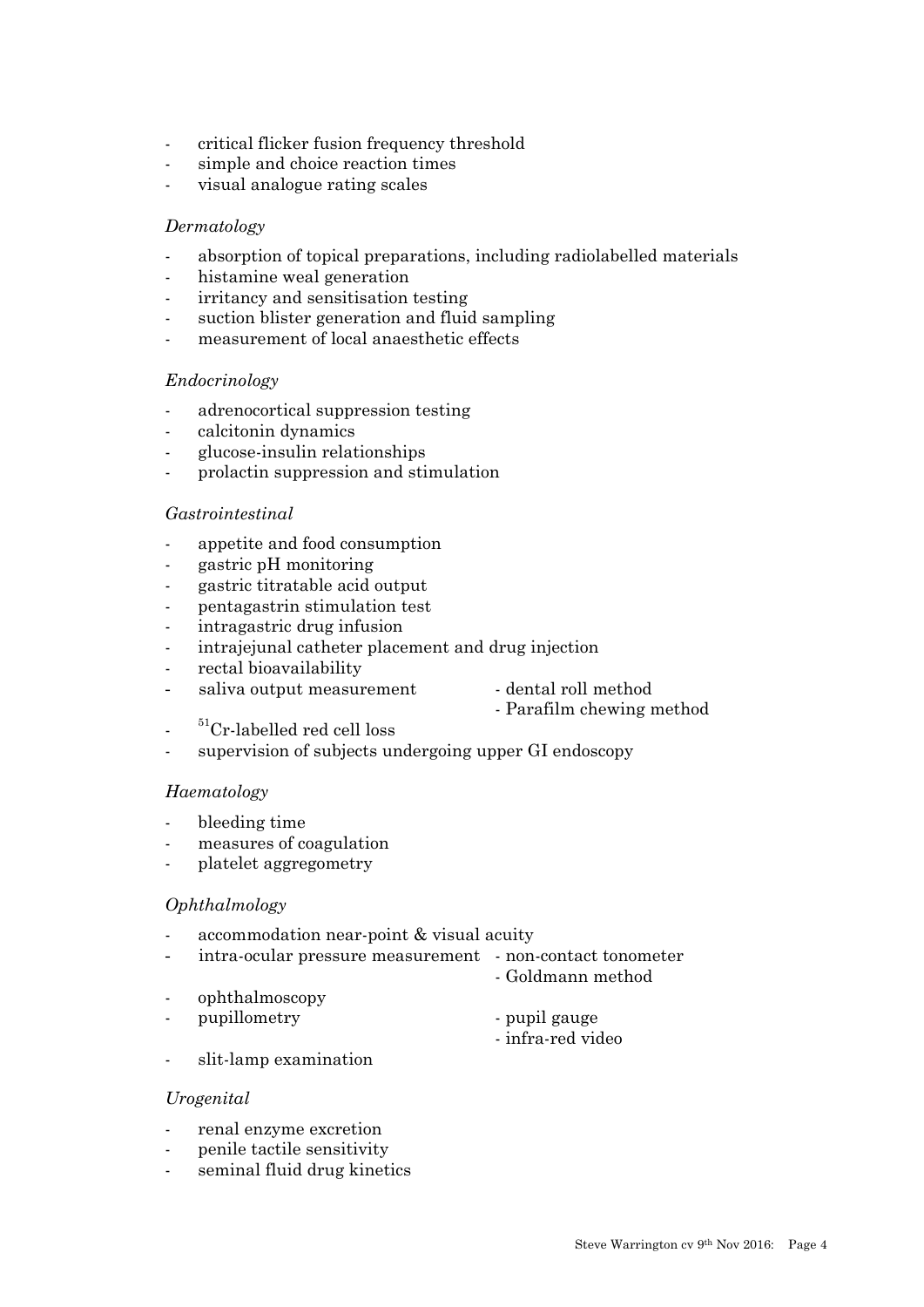- critical flicker fusion frequency threshold
- simple and choice reaction times
- visual analogue rating scales

#### *Dermatology*

- absorption of topical preparations, including radiolabelled materials
- histamine weal generation
- irritancy and sensitisation testing
- suction blister generation and fluid sampling
- measurement of local anaesthetic effects

#### *Endocrinology*

- adrenocortical suppression testing
- calcitonin dynamics
- glucose-insulin relationships
- prolactin suppression and stimulation

#### *Gastrointestinal*

- appetite and food consumption
- gastric pH monitoring
- gastric titratable acid output
- pentagastrin stimulation test
- intragastric drug infusion
- intrajejunal catheter placement and drug injection
- rectal bioavailability
- saliva output measurement dental roll method
- 

- infra-red video

- Parafilm chewing method
- ${}^{51}$ Cr-labelled red cell loss
- supervision of subjects undergoing upper GI endoscopy

#### *Haematology*

- bleeding time
- measures of coagulation
- platelet aggregometry

#### *Ophthalmology*

- accommodation near-point & visual acuity
- intra-ocular pressure measurement non-contact tonometer
	- Goldmann method
- ophthalmoscopy
- pupillometry pupil gauge
- slit-lamp examination

# *Urogenital*

- renal enzyme excretion
- penile tactile sensitivity
- seminal fluid drug kinetics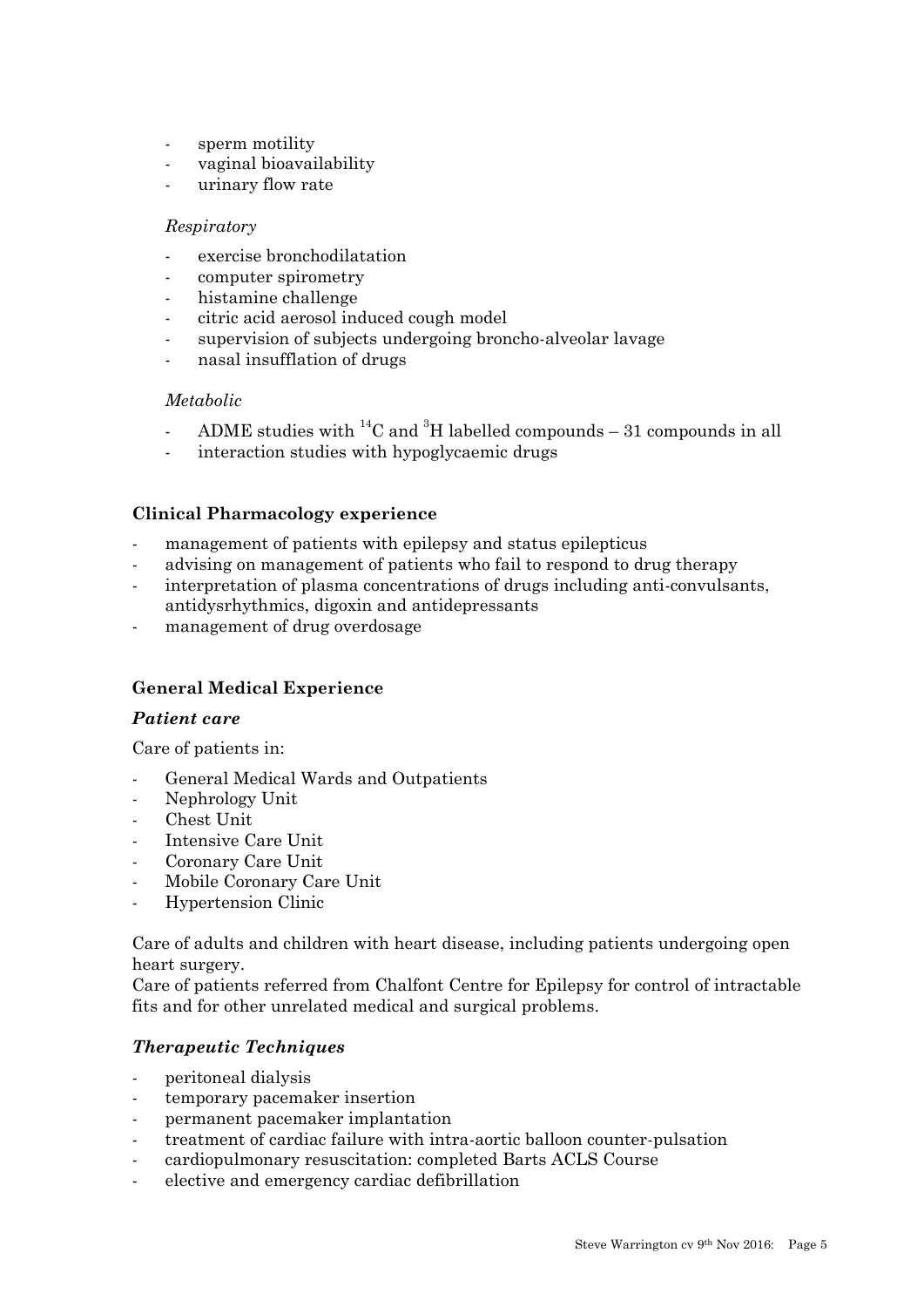- sperm motility
- vaginal bioavailability
- urinary flow rate

#### *Respiratory*

- exercise bronchodilatation
- computer spirometry
- histamine challenge
- citric acid aerosol induced cough model
- supervision of subjects undergoing broncho-alveolar lavage
- nasal insufflation of drugs

#### *Metabolic*

- ADME studies with  ${}^{14}$ C and  ${}^{3}$ H labelled compounds 31 compounds in all
- interaction studies with hypoglycaemic drugs

#### **Clinical Pharmacology experience**

- management of patients with epilepsy and status epilepticus
- advising on management of patients who fail to respond to drug therapy
- interpretation of plasma concentrations of drugs including anti-convulsants, antidysrhythmics, digoxin and antidepressants
- management of drug overdosage

#### **General Medical Experience**

#### *Patient care*

Care of patients in:

- General Medical Wards and Outpatients
- Nephrology Unit
- Chest Unit
- Intensive Care Unit
- Coronary Care Unit
- Mobile Coronary Care Unit
- Hypertension Clinic

Care of adults and children with heart disease, including patients undergoing open heart surgery.

Care of patients referred from Chalfont Centre for Epilepsy for control of intractable fits and for other unrelated medical and surgical problems.

#### *Therapeutic Techniques*

- peritoneal dialysis
- temporary pacemaker insertion
- permanent pacemaker implantation
- treatment of cardiac failure with intra-aortic balloon counter-pulsation
- cardiopulmonary resuscitation: completed Barts ACLS Course
- elective and emergency cardiac defibrillation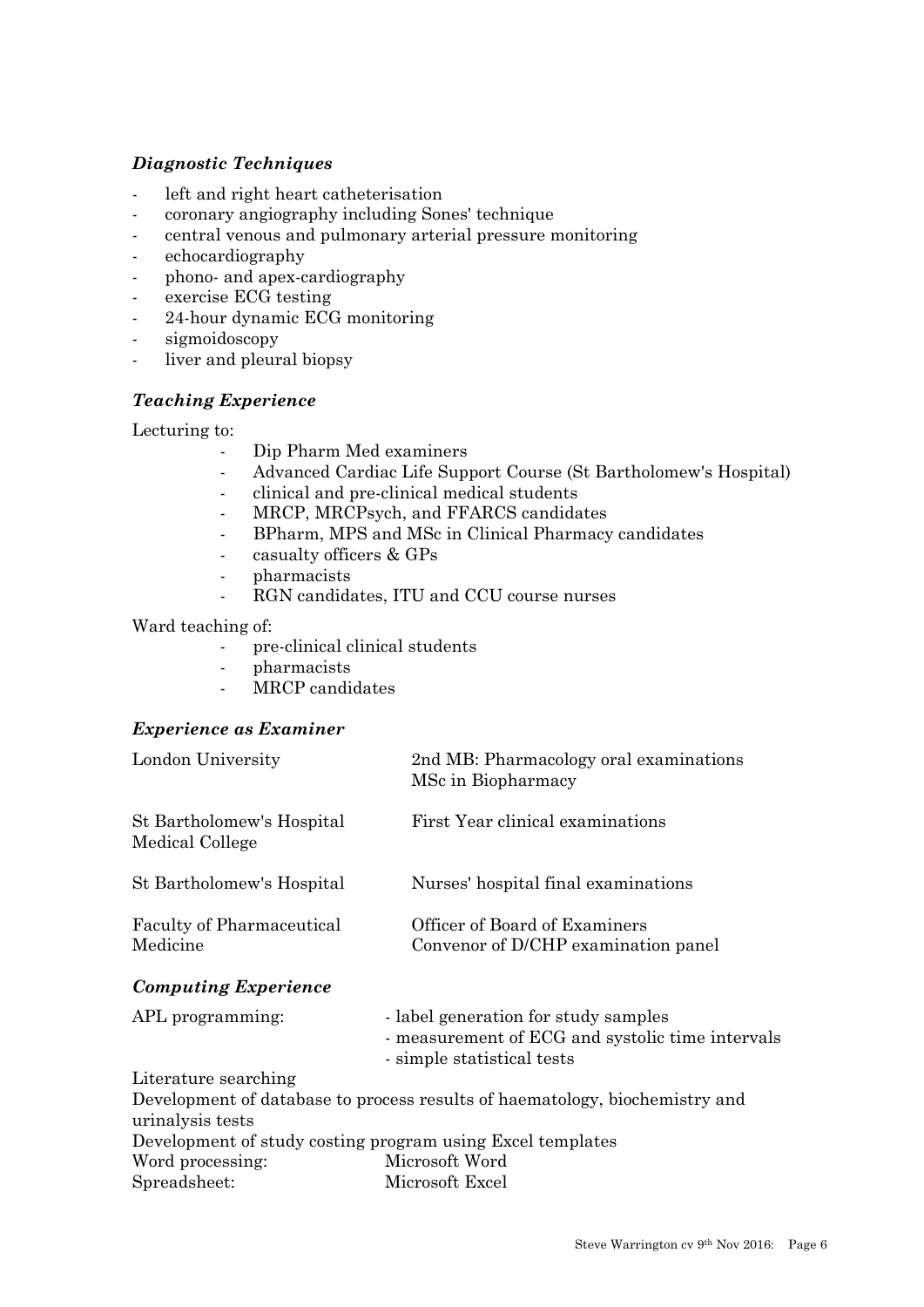## *Diagnostic Techniques*

- left and right heart catheterisation
- coronary angiography including Sones' technique
- central venous and pulmonary arterial pressure monitoring
- echocardiography
- phono- and apex-cardiography
- exercise ECG testing
- 24-hour dynamic ECG monitoring
- sigmoidoscopy
- liver and pleural biopsy

#### *Teaching Experience*

Lecturing to:

- Dip Pharm Med examiners
- Advanced Cardiac Life Support Course (St Bartholomew's Hospital)
- clinical and pre-clinical medical students
- MRCP, MRCPsych, and FFARCS candidates
- BPharm, MPS and MSc in Clinical Pharmacy candidates
- casualty officers & GPs
- pharmacists
- RGN candidates, ITU and CCU course nurses

Ward teaching of:

- pre-clinical clinical students
- pharmacists
- MRCP candidates

#### *Experience as Examiner*

| London University                            | 2nd MB: Pharmacology oral examinations<br>MSc in Biopharmacy                                                           |
|----------------------------------------------|------------------------------------------------------------------------------------------------------------------------|
| St Bartholomew's Hospital<br>Medical College | First Year clinical examinations                                                                                       |
| St Bartholomew's Hospital                    | Nurses' hospital final examinations                                                                                    |
| <b>Faculty of Pharmaceutical</b><br>Medicine | Officer of Board of Examiners<br>Convenor of D/CHP examination panel                                                   |
| <b>Computing Experience</b>                  |                                                                                                                        |
| APL programming:                             | - label generation for study samples<br>- measurement of ECG and systolic time intervals<br>- simple statistical tests |
| Literature searching                         |                                                                                                                        |
|                                              | Development of database to process results of haematology, biochemistry and                                            |
| urinalysis tests                             |                                                                                                                        |
|                                              | Development of study costing program using Excel templates                                                             |
| Word processing:                             | Microsoft Word                                                                                                         |
| Spreadsheet:                                 | Microsoft Excel                                                                                                        |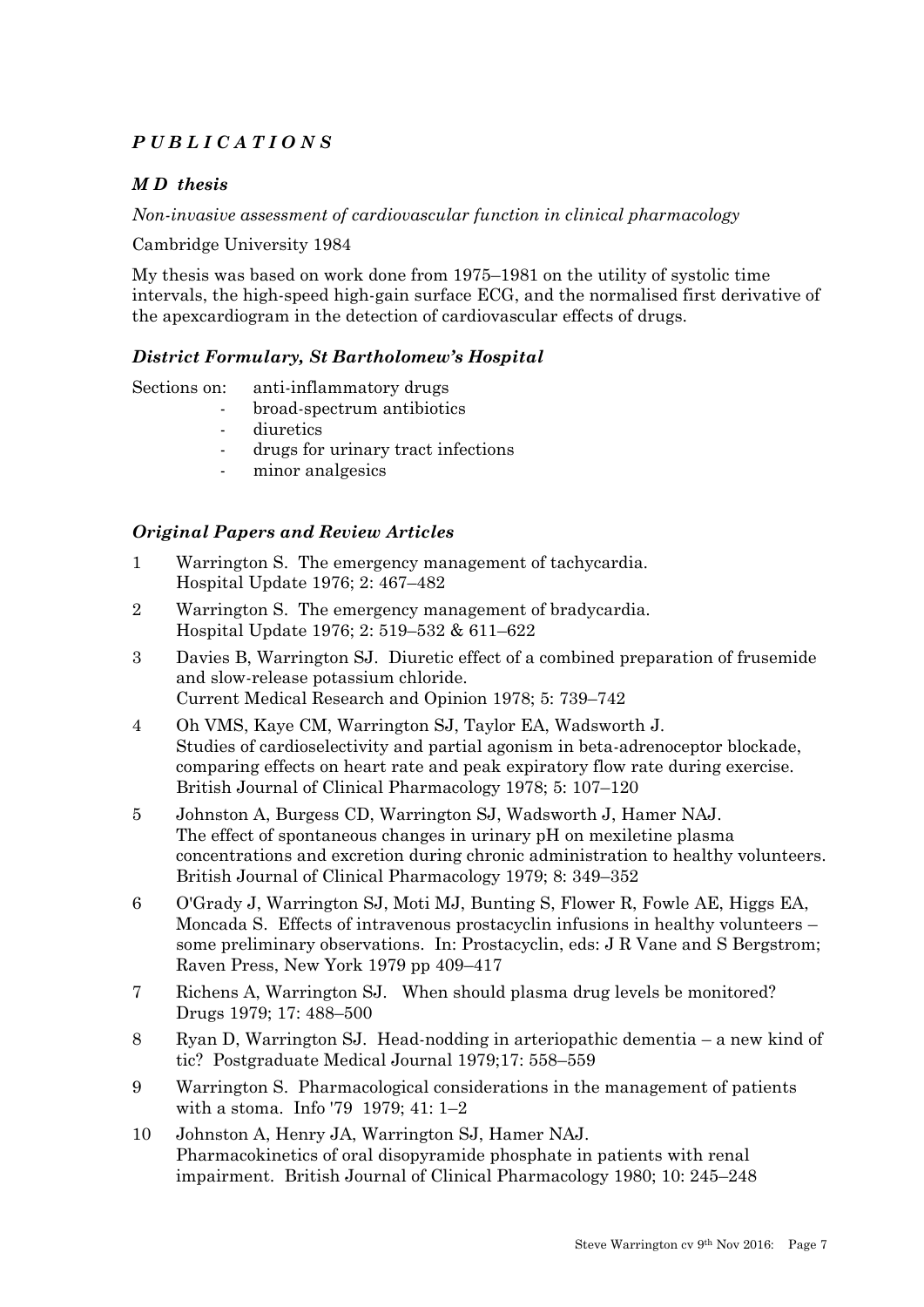# *P U B L I C A T I O N S*

## *M D thesis*

*Non-invasive assessment of cardiovascular function in clinical pharmacology*

Cambridge University 1984

My thesis was based on work done from 1975–1981 on the utility of systolic time intervals, the high-speed high-gain surface ECG, and the normalised first derivative of the apexcardiogram in the detection of cardiovascular effects of drugs.

#### *District Formulary, St Bartholomew's Hospital*

Sections on: anti-inflammatory drugs

- broad-spectrum antibiotics
- diuretics
- drugs for urinary tract infections
- minor analgesics

#### *Original Papers and Review Articles*

- 1 Warrington S. The emergency management of tachycardia. Hospital Update 1976; 2: 467–482
- 2 Warrington S. The emergency management of bradycardia. Hospital Update 1976; 2: 519–532 & 611–622
- 3 Davies B, Warrington SJ. Diuretic effect of a combined preparation of frusemide and slow-release potassium chloride. Current Medical Research and Opinion 1978; 5: 739–742
- 4 Oh VMS, Kaye CM, Warrington SJ, Taylor EA, Wadsworth J. Studies of cardioselectivity and partial agonism in beta-adrenoceptor blockade, comparing effects on heart rate and peak expiratory flow rate during exercise. British Journal of Clinical Pharmacology 1978; 5: 107–120
- 5 Johnston A, Burgess CD, Warrington SJ, Wadsworth J, Hamer NAJ. The effect of spontaneous changes in urinary pH on mexiletine plasma concentrations and excretion during chronic administration to healthy volunteers. British Journal of Clinical Pharmacology 1979; 8: 349–352
- 6 O'Grady J, Warrington SJ, Moti MJ, Bunting S, Flower R, Fowle AE, Higgs EA, Moncada S. Effects of intravenous prostacyclin infusions in healthy volunteers – some preliminary observations. In: Prostacyclin, eds: J R Vane and S Bergstrom; Raven Press, New York 1979 pp 409–417
- 7 Richens A, Warrington SJ. When should plasma drug levels be monitored? Drugs 1979; 17: 488–500
- 8 Ryan D, Warrington SJ. Head-nodding in arteriopathic dementia a new kind of tic? Postgraduate Medical Journal 1979;17: 558–559
- 9 Warrington S. Pharmacological considerations in the management of patients with a stoma. Info '79 1979; 41: 1–2
- 10 Johnston A, Henry JA, Warrington SJ, Hamer NAJ. Pharmacokinetics of oral disopyramide phosphate in patients with renal impairment. British Journal of Clinical Pharmacology 1980; 10: 245–248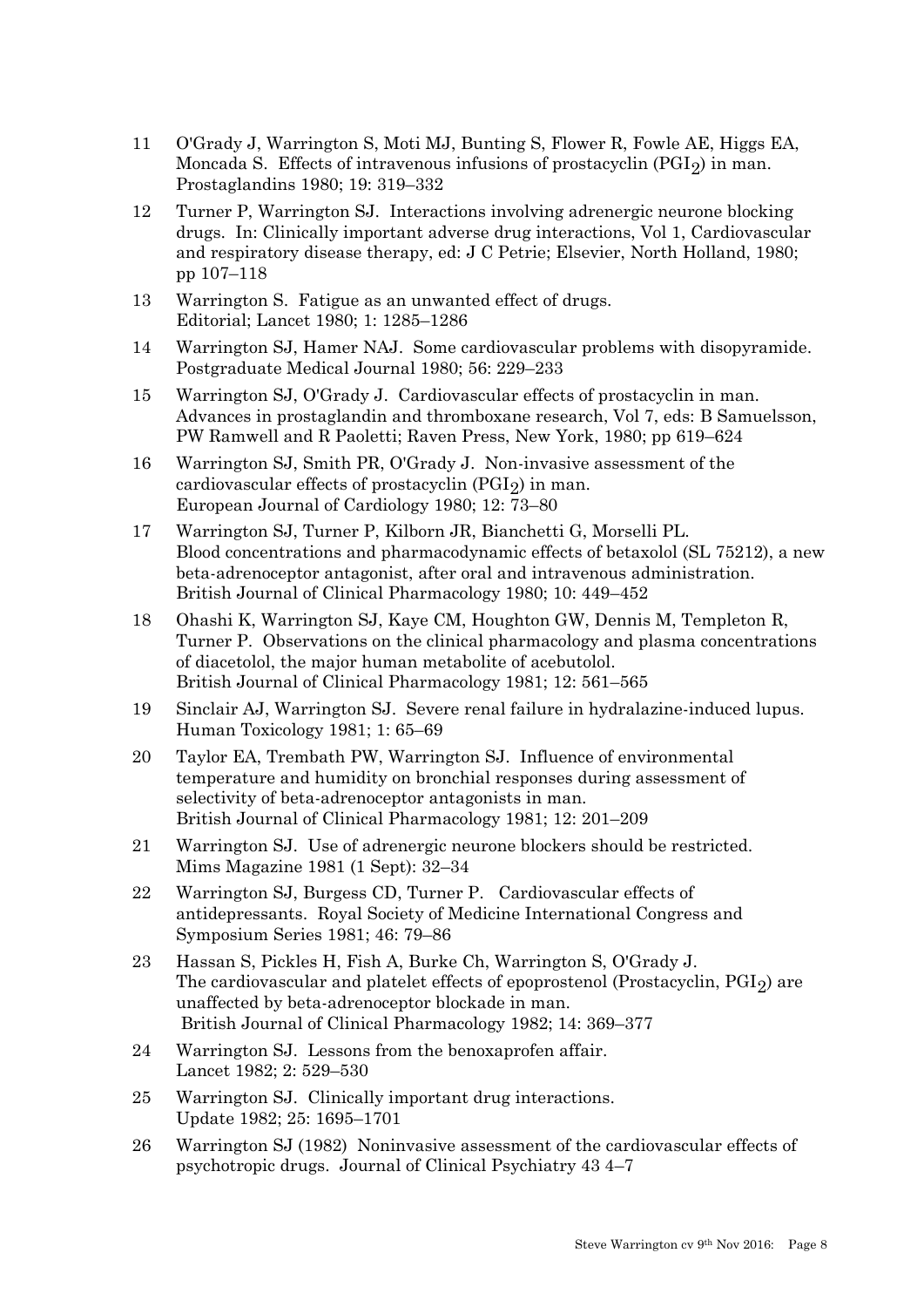- 11 O'Grady J, Warrington S, Moti MJ, Bunting S, Flower R, Fowle AE, Higgs EA, Moncada S. Effects of intravenous infusions of prostacyclin  $(PGI<sub>2</sub>)$  in man. Prostaglandins 1980; 19: 319–332
- 12 Turner P, Warrington SJ. Interactions involving adrenergic neurone blocking drugs. In: Clinically important adverse drug interactions, Vol 1, Cardiovascular and respiratory disease therapy, ed: J C Petrie; Elsevier, North Holland, 1980; pp 107–118
- 13 Warrington S. Fatigue as an unwanted effect of drugs. Editorial; Lancet 1980; 1: 1285–1286
- 14 Warrington SJ, Hamer NAJ. Some cardiovascular problems with disopyramide. Postgraduate Medical Journal 1980; 56: 229–233
- 15 Warrington SJ, O'Grady J. Cardiovascular effects of prostacyclin in man. Advances in prostaglandin and thromboxane research, Vol 7, eds: B Samuelsson, PW Ramwell and R Paoletti; Raven Press, New York, 1980; pp 619–624
- 16 Warrington SJ, Smith PR, O'Grady J. Non-invasive assessment of the cardiovascular effects of prostacyclin  $(PGI<sub>2</sub>)$  in man. European Journal of Cardiology 1980; 12: 73–80
- 17 Warrington SJ, Turner P, Kilborn JR, Bianchetti G, Morselli PL. Blood concentrations and pharmacodynamic effects of betaxolol (SL 75212), a new beta-adrenoceptor antagonist, after oral and intravenous administration. British Journal of Clinical Pharmacology 1980; 10: 449–452
- 18 Ohashi K, Warrington SJ, Kaye CM, Houghton GW, Dennis M, Templeton R, Turner P. Observations on the clinical pharmacology and plasma concentrations of diacetolol, the major human metabolite of acebutolol. British Journal of Clinical Pharmacology 1981; 12: 561–565
- 19 Sinclair AJ, Warrington SJ. Severe renal failure in hydralazine-induced lupus. Human Toxicology 1981; 1: 65–69
- 20 Taylor EA, Trembath PW, Warrington SJ. Influence of environmental temperature and humidity on bronchial responses during assessment of selectivity of beta-adrenoceptor antagonists in man. British Journal of Clinical Pharmacology 1981; 12: 201–209
- 21 Warrington SJ. Use of adrenergic neurone blockers should be restricted. Mims Magazine 1981 (1 Sept): 32–34
- 22 Warrington SJ, Burgess CD, Turner P. Cardiovascular effects of antidepressants. Royal Society of Medicine International Congress and Symposium Series 1981; 46: 79–86
- 23 Hassan S, Pickles H, Fish A, Burke Ch, Warrington S, O'Grady J. The cardiovascular and platelet effects of epoprostenol (Prostacyclin, PGI2) are unaffected by beta-adrenoceptor blockade in man. British Journal of Clinical Pharmacology 1982; 14: 369–377
- 24 Warrington SJ. Lessons from the benoxaprofen affair. Lancet 1982; 2: 529–530
- 25 Warrington SJ. Clinically important drug interactions. Update 1982; 25: 1695–1701
- 26 Warrington SJ (1982) Noninvasive assessment of the cardiovascular effects of psychotropic drugs. Journal of Clinical Psychiatry 43 4–7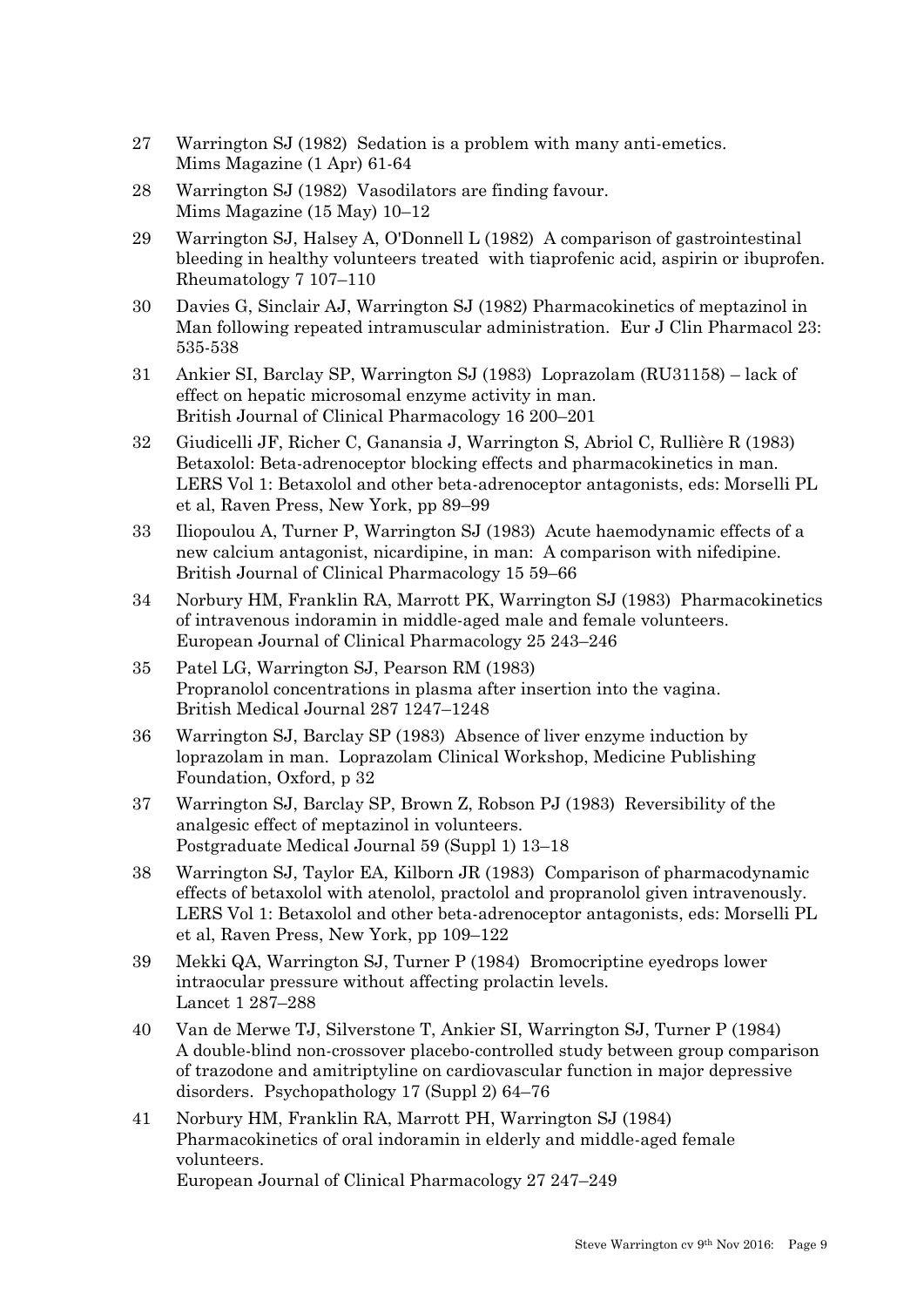- 27 Warrington SJ (1982) Sedation is a problem with many anti-emetics. Mims Magazine (1 Apr) 61-64
- 28 Warrington SJ (1982) Vasodilators are finding favour. Mims Magazine (15 May) 10–12
- 29 Warrington SJ, Halsey A, O'Donnell L (1982) A comparison of gastrointestinal bleeding in healthy volunteers treated with tiaprofenic acid, aspirin or ibuprofen. Rheumatology 7 107–110
- 30 Davies G, Sinclair AJ, Warrington SJ (1982) Pharmacokinetics of meptazinol in Man following repeated intramuscular administration. Eur J Clin Pharmacol 23: 535-538
- 31 Ankier SI, Barclay SP, Warrington SJ (1983) Loprazolam (RU31158) lack of effect on hepatic microsomal enzyme activity in man. British Journal of Clinical Pharmacology 16 200–201
- 32 Giudicelli JF, Richer C, Ganansia J, Warrington S, Abriol C, Rullière R (1983) Betaxolol: Beta-adrenoceptor blocking effects and pharmacokinetics in man. LERS Vol 1: Betaxolol and other beta-adrenoceptor antagonists, eds: Morselli PL et al, Raven Press, New York, pp 89–99
- 33 Iliopoulou A, Turner P, Warrington SJ (1983) Acute haemodynamic effects of a new calcium antagonist, nicardipine, in man: A comparison with nifedipine. British Journal of Clinical Pharmacology 15 59–66
- 34 Norbury HM, Franklin RA, Marrott PK, Warrington SJ (1983) Pharmacokinetics of intravenous indoramin in middle-aged male and female volunteers. European Journal of Clinical Pharmacology 25 243–246
- 35 Patel LG, Warrington SJ, Pearson RM (1983) Propranolol concentrations in plasma after insertion into the vagina. British Medical Journal 287 1247–1248
- 36 Warrington SJ, Barclay SP (1983) Absence of liver enzyme induction by loprazolam in man. Loprazolam Clinical Workshop, Medicine Publishing Foundation, Oxford, p 32
- 37 Warrington SJ, Barclay SP, Brown Z, Robson PJ (1983) Reversibility of the analgesic effect of meptazinol in volunteers. Postgraduate Medical Journal 59 (Suppl 1) 13–18
- 38 Warrington SJ, Taylor EA, Kilborn JR (1983) Comparison of pharmacodynamic effects of betaxolol with atenolol, practolol and propranolol given intravenously. LERS Vol 1: Betaxolol and other beta-adrenoceptor antagonists, eds: Morselli PL et al, Raven Press, New York, pp 109–122
- 39 Mekki QA, Warrington SJ, Turner P (1984) Bromocriptine eyedrops lower intraocular pressure without affecting prolactin levels. Lancet 1 287–288
- 40 Van de Merwe TJ, Silverstone T, Ankier SI, Warrington SJ, Turner P (1984) A double-blind non-crossover placebo-controlled study between group comparison of trazodone and amitriptyline on cardiovascular function in major depressive disorders. Psychopathology 17 (Suppl 2) 64–76
- 41 Norbury HM, Franklin RA, Marrott PH, Warrington SJ (1984) Pharmacokinetics of oral indoramin in elderly and middle-aged female volunteers. European Journal of Clinical Pharmacology 27 247–249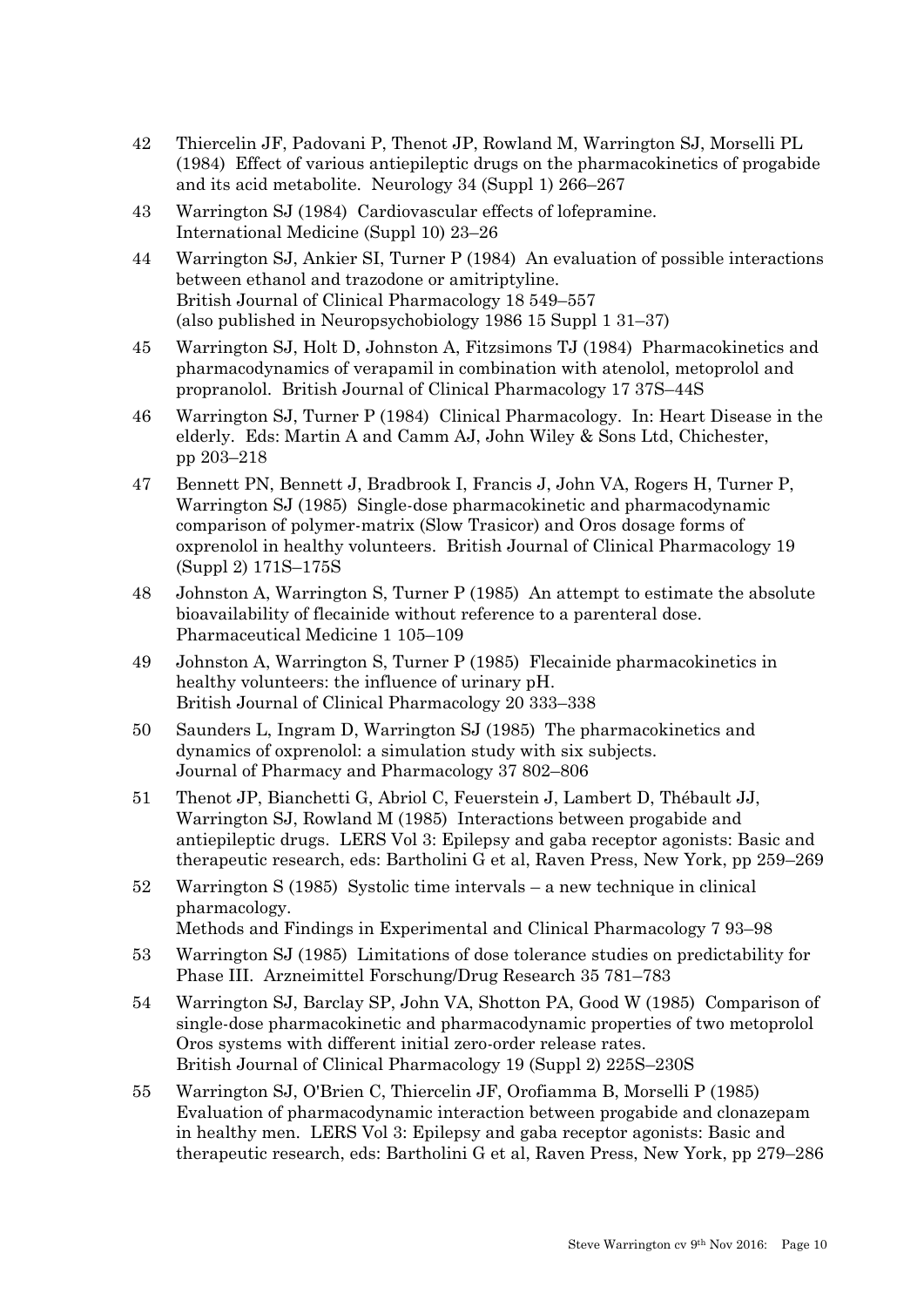- 42 Thiercelin JF, Padovani P, Thenot JP, Rowland M, Warrington SJ, Morselli PL (1984) Effect of various antiepileptic drugs on the pharmacokinetics of progabide and its acid metabolite. Neurology 34 (Suppl 1) 266–267
- 43 Warrington SJ (1984) Cardiovascular effects of lofepramine. International Medicine (Suppl 10) 23–26
- 44 Warrington SJ, Ankier SI, Turner P (1984) An evaluation of possible interactions between ethanol and trazodone or amitriptyline. British Journal of Clinical Pharmacology 18 549–557 (also published in Neuropsychobiology 1986 15 Suppl 1 31–37)
- 45 Warrington SJ, Holt D, Johnston A, Fitzsimons TJ (1984) Pharmacokinetics and pharmacodynamics of verapamil in combination with atenolol, metoprolol and propranolol. British Journal of Clinical Pharmacology 17 37S–44S
- 46 Warrington SJ, Turner P (1984) Clinical Pharmacology. In: Heart Disease in the elderly. Eds: Martin A and Camm AJ, John Wiley & Sons Ltd, Chichester, pp 203–218
- 47 Bennett PN, Bennett J, Bradbrook I, Francis J, John VA, Rogers H, Turner P, Warrington SJ (1985) Single-dose pharmacokinetic and pharmacodynamic comparison of polymer-matrix (Slow Trasicor) and Oros dosage forms of oxprenolol in healthy volunteers. British Journal of Clinical Pharmacology 19 (Suppl 2) 171S–175S
- 48 Johnston A, Warrington S, Turner P (1985) An attempt to estimate the absolute bioavailability of flecainide without reference to a parenteral dose. Pharmaceutical Medicine 1 105–109
- 49 Johnston A, Warrington S, Turner P (1985) Flecainide pharmacokinetics in healthy volunteers: the influence of urinary pH. British Journal of Clinical Pharmacology 20 333–338
- 50 Saunders L, Ingram D, Warrington SJ (1985) The pharmacokinetics and dynamics of oxprenolol: a simulation study with six subjects. Journal of Pharmacy and Pharmacology 37 802–806
- 51 Thenot JP, Bianchetti G, Abriol C, Feuerstein J, Lambert D, Thébault JJ, Warrington SJ, Rowland M (1985) Interactions between progabide and antiepileptic drugs. LERS Vol 3: Epilepsy and gaba receptor agonists: Basic and therapeutic research, eds: Bartholini G et al, Raven Press, New York, pp 259–269
- 52 Warrington S (1985) Systolic time intervals a new technique in clinical pharmacology.
	- Methods and Findings in Experimental and Clinical Pharmacology 7 93–98
- 53 Warrington SJ (1985) Limitations of dose tolerance studies on predictability for Phase III. Arzneimittel Forschung/Drug Research 35 781–783
- 54 Warrington SJ, Barclay SP, John VA, Shotton PA, Good W (1985) Comparison of single-dose pharmacokinetic and pharmacodynamic properties of two metoprolol Oros systems with different initial zero-order release rates. British Journal of Clinical Pharmacology 19 (Suppl 2) 225S–230S
- 55 Warrington SJ, O'Brien C, Thiercelin JF, Orofiamma B, Morselli P (1985) Evaluation of pharmacodynamic interaction between progabide and clonazepam in healthy men. LERS Vol 3: Epilepsy and gaba receptor agonists: Basic and therapeutic research, eds: Bartholini G et al, Raven Press, New York, pp 279–286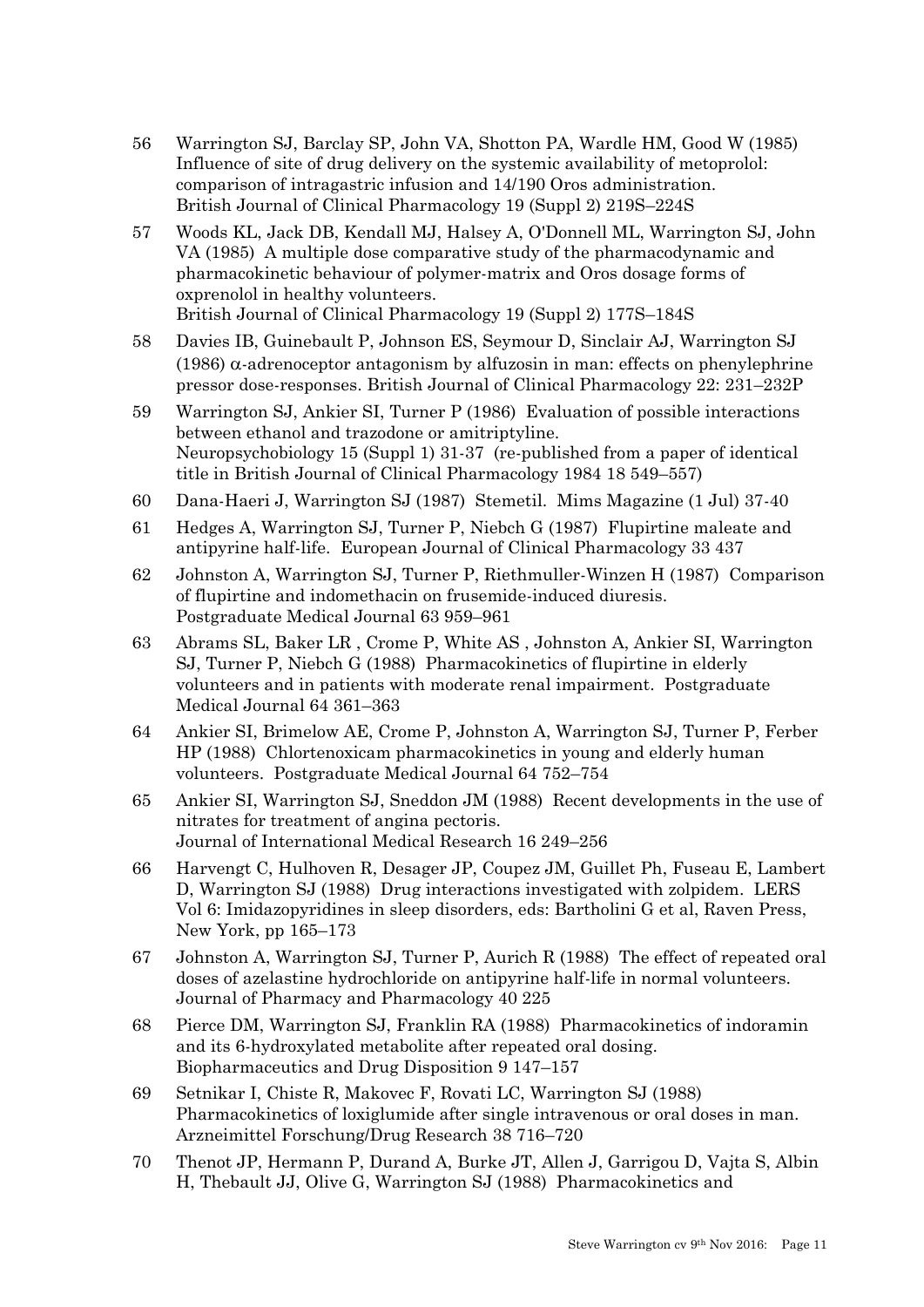- 56 Warrington SJ, Barclay SP, John VA, Shotton PA, Wardle HM, Good W (1985) Influence of site of drug delivery on the systemic availability of metoprolol: comparison of intragastric infusion and 14/190 Oros administration. British Journal of Clinical Pharmacology 19 (Suppl 2) 219S–224S
- 57 Woods KL, Jack DB, Kendall MJ, Halsey A, O'Donnell ML, Warrington SJ, John VA (1985) A multiple dose comparative study of the pharmacodynamic and pharmacokinetic behaviour of polymer-matrix and Oros dosage forms of oxprenolol in healthy volunteers. British Journal of Clinical Pharmacology 19 (Suppl 2) 177S–184S
- 58 Davies IB, Guinebault P, Johnson ES, Seymour D, Sinclair AJ, Warrington SJ (1986)  $\alpha$ -adrenoceptor antagonism by alfuzosin in man: effects on phenylephrine pressor dose-responses. British Journal of Clinical Pharmacology 22: 231–232P
- 59 Warrington SJ, Ankier SI, Turner P (1986) Evaluation of possible interactions between ethanol and trazodone or amitriptyline. Neuropsychobiology 15 (Suppl 1) 31-37 (re-published from a paper of identical title in British Journal of Clinical Pharmacology 1984 18 549–557)
- 60 Dana-Haeri J, Warrington SJ (1987) Stemetil. Mims Magazine (1 Jul) 37-40
- 61 Hedges A, Warrington SJ, Turner P, Niebch G (1987) Flupirtine maleate and antipyrine half-life. European Journal of Clinical Pharmacology 33 437
- 62 Johnston A, Warrington SJ, Turner P, Riethmuller-Winzen H (1987) Comparison of flupirtine and indomethacin on frusemide-induced diuresis. Postgraduate Medical Journal 63 959–961
- 63 Abrams SL, Baker LR , Crome P, White AS , Johnston A, Ankier SI, Warrington SJ, Turner P, Niebch G (1988) Pharmacokinetics of flupirtine in elderly volunteers and in patients with moderate renal impairment. Postgraduate Medical Journal 64 361–363
- 64 Ankier SI, Brimelow AE, Crome P, Johnston A, Warrington SJ, Turner P, Ferber HP (1988) Chlortenoxicam pharmacokinetics in young and elderly human volunteers. Postgraduate Medical Journal 64 752–754
- 65 Ankier SI, Warrington SJ, Sneddon JM (1988) Recent developments in the use of nitrates for treatment of angina pectoris. Journal of International Medical Research 16 249–256
- 66 Harvengt C, Hulhoven R, Desager JP, Coupez JM, Guillet Ph, Fuseau E, Lambert D, Warrington SJ (1988) Drug interactions investigated with zolpidem. LERS Vol 6: Imidazopyridines in sleep disorders, eds: Bartholini G et al, Raven Press, New York, pp 165–173
- 67 Johnston A, Warrington SJ, Turner P, Aurich R (1988) The effect of repeated oral doses of azelastine hydrochloride on antipyrine half-life in normal volunteers. Journal of Pharmacy and Pharmacology 40 225
- 68 Pierce DM, Warrington SJ, Franklin RA (1988) Pharmacokinetics of indoramin and its 6-hydroxylated metabolite after repeated oral dosing. Biopharmaceutics and Drug Disposition 9 147–157
- 69 Setnikar I, Chiste R, Makovec F, Rovati LC, Warrington SJ (1988) Pharmacokinetics of loxiglumide after single intravenous or oral doses in man. Arzneimittel Forschung/Drug Research 38 716–720
- 70 Thenot JP, Hermann P, Durand A, Burke JT, Allen J, Garrigou D, Vajta S, Albin H, Thebault JJ, Olive G, Warrington SJ (1988) Pharmacokinetics and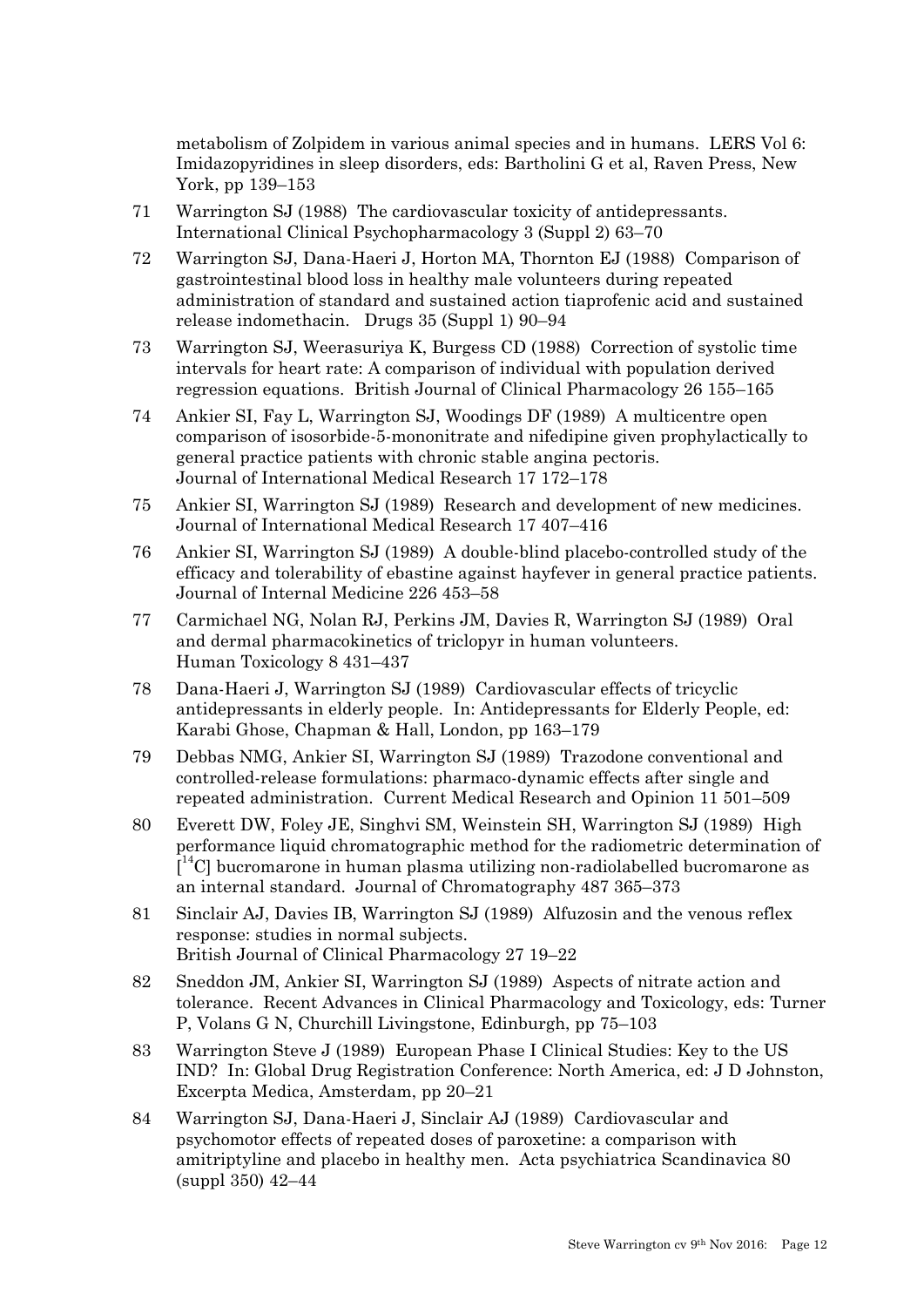metabolism of Zolpidem in various animal species and in humans. LERS Vol 6: Imidazopyridines in sleep disorders, eds: Bartholini G et al, Raven Press, New York, pp 139–153

- 71 Warrington SJ (1988) The cardiovascular toxicity of antidepressants. International Clinical Psychopharmacology 3 (Suppl 2) 63–70
- 72 Warrington SJ, Dana-Haeri J, Horton MA, Thornton EJ (1988) Comparison of gastrointestinal blood loss in healthy male volunteers during repeated administration of standard and sustained action tiaprofenic acid and sustained release indomethacin. Drugs 35 (Suppl 1) 90–94
- 73 Warrington SJ, Weerasuriya K, Burgess CD (1988) Correction of systolic time intervals for heart rate: A comparison of individual with population derived regression equations. British Journal of Clinical Pharmacology 26 155–165
- 74 Ankier SI, Fay L, Warrington SJ, Woodings DF (1989) A multicentre open comparison of isosorbide-5-mononitrate and nifedipine given prophylactically to general practice patients with chronic stable angina pectoris. Journal of International Medical Research 17 172–178
- 75 Ankier SI, Warrington SJ (1989) Research and development of new medicines. Journal of International Medical Research 17 407–416
- 76 Ankier SI, Warrington SJ (1989) A double-blind placebo-controlled study of the efficacy and tolerability of ebastine against hayfever in general practice patients. Journal of Internal Medicine 226 453–58
- 77 Carmichael NG, Nolan RJ, Perkins JM, Davies R, Warrington SJ (1989) Oral and dermal pharmacokinetics of triclopyr in human volunteers. Human Toxicology 8 431–437
- 78 Dana-Haeri J, Warrington SJ (1989) Cardiovascular effects of tricyclic antidepressants in elderly people. In: Antidepressants for Elderly People, ed: Karabi Ghose, Chapman & Hall, London, pp 163–179
- 79 Debbas NMG, Ankier SI, Warrington SJ (1989) Trazodone conventional and controlled-release formulations: pharmaco-dynamic effects after single and repeated administration. Current Medical Research and Opinion 11 501–509
- 80 Everett DW, Foley JE, Singhvi SM, Weinstein SH, Warrington SJ (1989) High performance liquid chromatographic method for the radiometric determination of  $\tilde{N}^{14}$ C] bucromarone in human plasma utilizing non-radiolabelled bucromarone as an internal standard. Journal of Chromatography 487 365–373
- 81 Sinclair AJ, Davies IB, Warrington SJ (1989) Alfuzosin and the venous reflex response: studies in normal subjects. British Journal of Clinical Pharmacology 27 19–22
- 82 Sneddon JM, Ankier SI, Warrington SJ (1989) Aspects of nitrate action and tolerance. Recent Advances in Clinical Pharmacology and Toxicology, eds: Turner P, Volans G N, Churchill Livingstone, Edinburgh, pp 75–103
- 83 Warrington Steve J (1989) European Phase I Clinical Studies: Key to the US IND? In: Global Drug Registration Conference: North America, ed: J D Johnston, Excerpta Medica, Amsterdam, pp 20–21
- 84 Warrington SJ, Dana-Haeri J, Sinclair AJ (1989) Cardiovascular and psychomotor effects of repeated doses of paroxetine: a comparison with amitriptyline and placebo in healthy men. Acta psychiatrica Scandinavica 80 (suppl 350) 42–44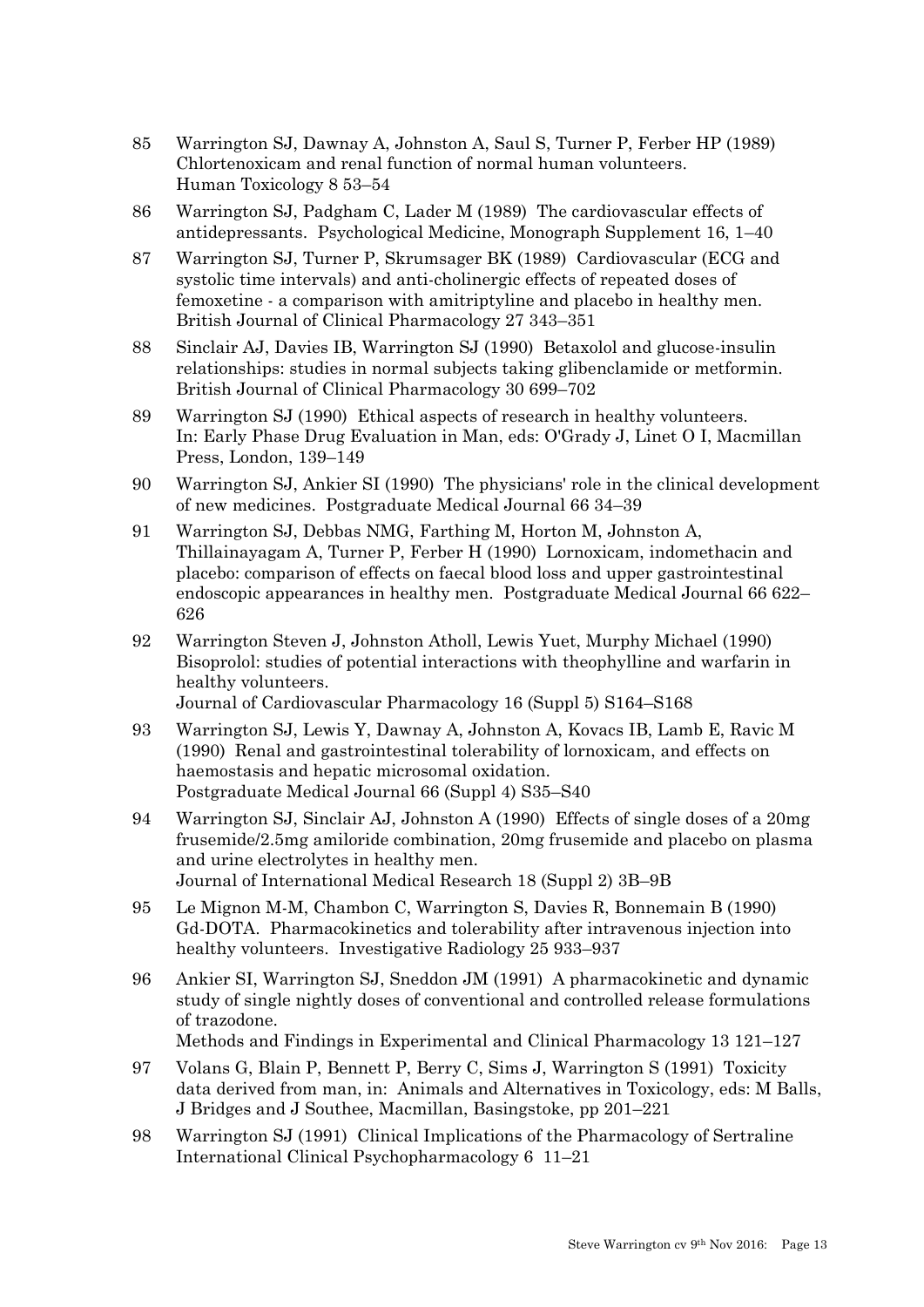- 85 Warrington SJ, Dawnay A, Johnston A, Saul S, Turner P, Ferber HP (1989) Chlortenoxicam and renal function of normal human volunteers. Human Toxicology 8 53–54
- 86 Warrington SJ, Padgham C, Lader M (1989) The cardiovascular effects of antidepressants. Psychological Medicine, Monograph Supplement 16, 1–40
- 87 Warrington SJ, Turner P, Skrumsager BK (1989) Cardiovascular (ECG and systolic time intervals) and anti-cholinergic effects of repeated doses of femoxetine - a comparison with amitriptyline and placebo in healthy men. British Journal of Clinical Pharmacology 27 343–351
- 88 Sinclair AJ, Davies IB, Warrington SJ (1990) Betaxolol and glucose-insulin relationships: studies in normal subjects taking glibenclamide or metformin. British Journal of Clinical Pharmacology 30 699–702
- 89 Warrington SJ (1990) Ethical aspects of research in healthy volunteers. In: Early Phase Drug Evaluation in Man, eds: O'Grady J, Linet O I, Macmillan Press, London, 139–149
- 90 Warrington SJ, Ankier SI (1990) The physicians' role in the clinical development of new medicines. Postgraduate Medical Journal 66 34–39
- 91 Warrington SJ, Debbas NMG, Farthing M, Horton M, Johnston A, Thillainayagam A, Turner P, Ferber H (1990) Lornoxicam, indomethacin and placebo: comparison of effects on faecal blood loss and upper gastrointestinal endoscopic appearances in healthy men. Postgraduate Medical Journal 66 622– 626
- 92 Warrington Steven J, Johnston Atholl, Lewis Yuet, Murphy Michael (1990) Bisoprolol: studies of potential interactions with theophylline and warfarin in healthy volunteers. Journal of Cardiovascular Pharmacology 16 (Suppl 5) S164–S168
- 93 Warrington SJ, Lewis Y, Dawnay A, Johnston A, Kovacs IB, Lamb E, Ravic M (1990) Renal and gastrointestinal tolerability of lornoxicam, and effects on haemostasis and hepatic microsomal oxidation. Postgraduate Medical Journal 66 (Suppl 4) S35–S40
- 94 Warrington SJ, Sinclair AJ, Johnston A (1990) Effects of single doses of a 20mg frusemide/2.5mg amiloride combination, 20mg frusemide and placebo on plasma and urine electrolytes in healthy men. Journal of International Medical Research 18 (Suppl 2) 3B–9B

95 Le Mignon M-M, Chambon C, Warrington S, Davies R, Bonnemain B (1990)

- Gd-DOTA. Pharmacokinetics and tolerability after intravenous injection into healthy volunteers. Investigative Radiology 25 933–937
- 96 Ankier SI, Warrington SJ, Sneddon JM (1991) A pharmacokinetic and dynamic study of single nightly doses of conventional and controlled release formulations of trazodone.

Methods and Findings in Experimental and Clinical Pharmacology 13 121–127

- 97 Volans G, Blain P, Bennett P, Berry C, Sims J, Warrington S (1991) Toxicity data derived from man, in: Animals and Alternatives in Toxicology, eds: M Balls, J Bridges and J Southee, Macmillan, Basingstoke, pp 201–221
- 98 Warrington SJ (1991) Clinical Implications of the Pharmacology of Sertraline International Clinical Psychopharmacology 6 11–21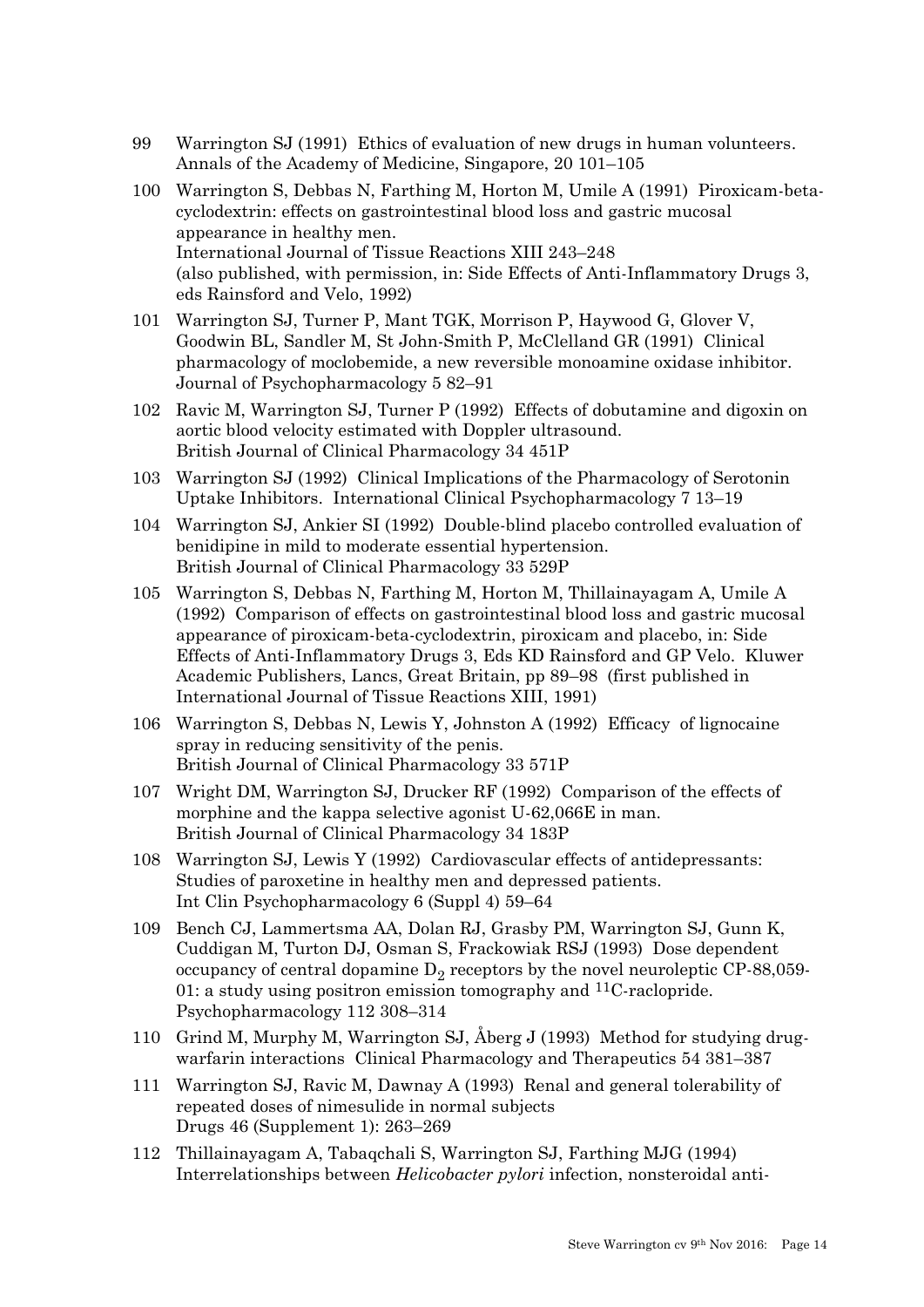- 99 Warrington SJ (1991) Ethics of evaluation of new drugs in human volunteers. Annals of the Academy of Medicine, Singapore, 20 101–105
- 100 Warrington S, Debbas N, Farthing M, Horton M, Umile A (1991) Piroxicam-betacyclodextrin: effects on gastrointestinal blood loss and gastric mucosal appearance in healthy men. International Journal of Tissue Reactions XIII 243–248 (also published, with permission, in: Side Effects of Anti-Inflammatory Drugs 3, eds Rainsford and Velo, 1992)
- 101 Warrington SJ, Turner P, Mant TGK, Morrison P, Haywood G, Glover V, Goodwin BL, Sandler M, St John-Smith P, McClelland GR (1991) Clinical pharmacology of moclobemide, a new reversible monoamine oxidase inhibitor. Journal of Psychopharmacology 5 82–91
- 102 Ravic M, Warrington SJ, Turner P (1992) Effects of dobutamine and digoxin on aortic blood velocity estimated with Doppler ultrasound. British Journal of Clinical Pharmacology 34 451P
- 103 Warrington SJ (1992) Clinical Implications of the Pharmacology of Serotonin Uptake Inhibitors. International Clinical Psychopharmacology 7 13–19
- 104 Warrington SJ, Ankier SI (1992) Double-blind placebo controlled evaluation of benidipine in mild to moderate essential hypertension. British Journal of Clinical Pharmacology 33 529P
- 105 Warrington S, Debbas N, Farthing M, Horton M, Thillainayagam A, Umile A (1992) Comparison of effects on gastrointestinal blood loss and gastric mucosal appearance of piroxicam-beta-cyclodextrin, piroxicam and placebo, in: Side Effects of Anti-Inflammatory Drugs 3, Eds KD Rainsford and GP Velo. Kluwer Academic Publishers, Lancs, Great Britain, pp 89–98 (first published in International Journal of Tissue Reactions XIII, 1991)
- 106 Warrington S, Debbas N, Lewis Y, Johnston A (1992) Efficacy of lignocaine spray in reducing sensitivity of the penis. British Journal of Clinical Pharmacology 33 571P
- 107 Wright DM, Warrington SJ, Drucker RF (1992) Comparison of the effects of morphine and the kappa selective agonist U-62,066E in man. British Journal of Clinical Pharmacology 34 183P
- 108 Warrington SJ, Lewis Y (1992) Cardiovascular effects of antidepressants: Studies of paroxetine in healthy men and depressed patients. Int Clin Psychopharmacology 6 (Suppl 4) 59–64
- 109 Bench CJ, Lammertsma AA, Dolan RJ, Grasby PM, Warrington SJ, Gunn K, Cuddigan M, Turton DJ, Osman S, Frackowiak RSJ (1993) Dose dependent occupancy of central dopamine  $\mathrm{D}_2$  receptors by the novel neuroleptic CP-88,059-01: a study using positron emission tomography and <sup>11</sup>C-raclopride. Psychopharmacology 112 308–314
- 110 Grind M, Murphy M, Warrington SJ, Åberg J (1993) Method for studying drugwarfarin interactions Clinical Pharmacology and Therapeutics 54 381–387
- 111 Warrington SJ, Ravic M, Dawnay A (1993) Renal and general tolerability of repeated doses of nimesulide in normal subjects Drugs 46 (Supplement 1): 263–269
- 112 Thillainayagam A, Tabaqchali S, Warrington SJ, Farthing MJG (1994) Interrelationships between *Helicobacter pylori* infection, nonsteroidal anti-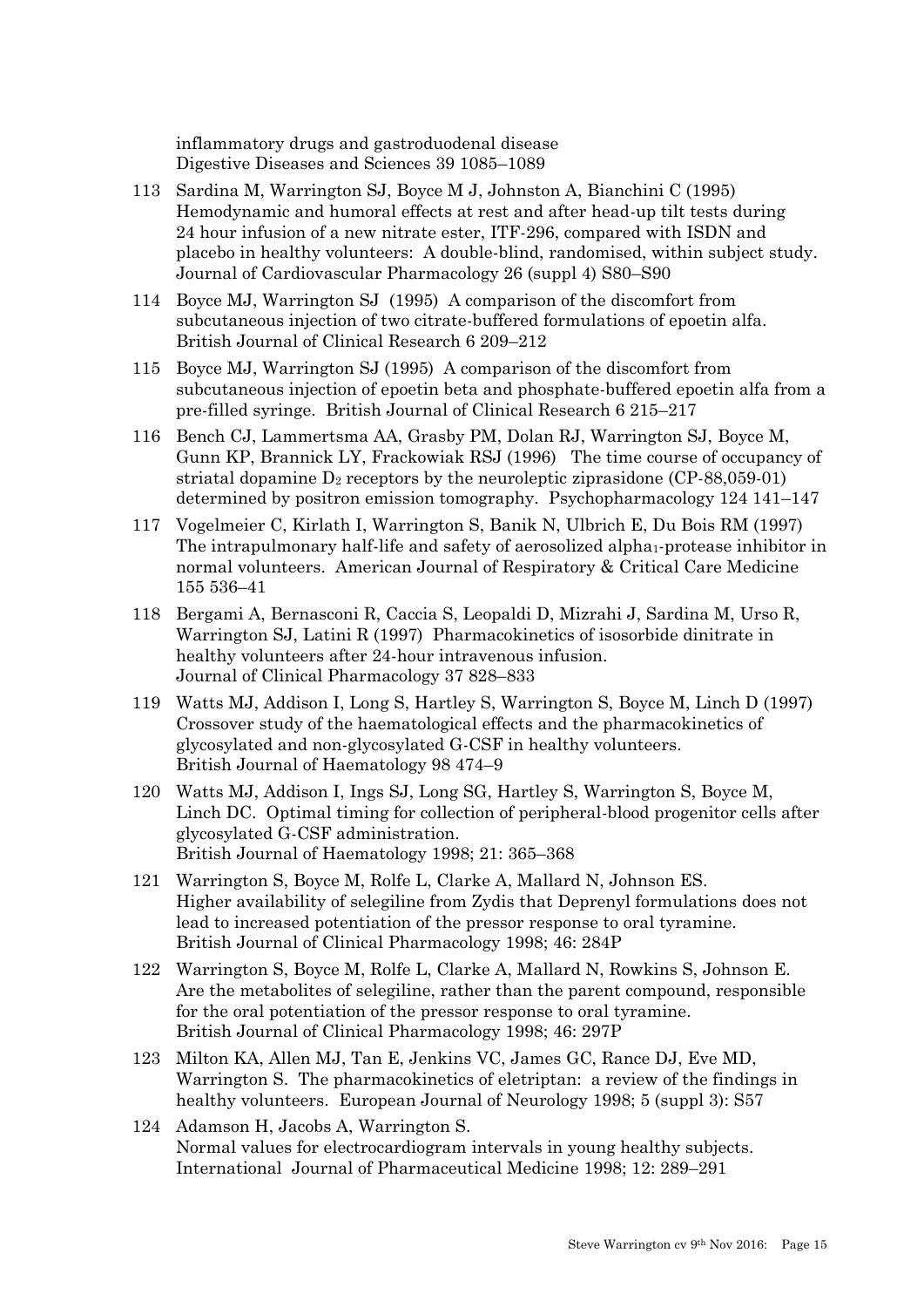inflammatory drugs and gastroduodenal disease Digestive Diseases and Sciences 39 1085–1089

- 113 Sardina M, Warrington SJ, Boyce M J, Johnston A, Bianchini C (1995) Hemodynamic and humoral effects at rest and after head-up tilt tests during 24 hour infusion of a new nitrate ester, ITF-296, compared with ISDN and placebo in healthy volunteers: A double-blind, randomised, within subject study. Journal of Cardiovascular Pharmacology 26 (suppl 4) S80–S90
- 114 Boyce MJ, Warrington SJ (1995) A comparison of the discomfort from subcutaneous injection of two citrate-buffered formulations of epoetin alfa. British Journal of Clinical Research 6 209–212
- 115 Boyce MJ, Warrington SJ (1995) A comparison of the discomfort from subcutaneous injection of epoetin beta and phosphate-buffered epoetin alfa from a pre-filled syringe. British Journal of Clinical Research 6 215–217
- 116 Bench CJ, Lammertsma AA, Grasby PM, Dolan RJ, Warrington SJ, Boyce M, Gunn KP, Brannick LY, Frackowiak RSJ (1996) The time course of occupancy of striatal dopamine  $D_2$  receptors by the neuroleptic ziprasidone (CP-88,059-01) determined by positron emission tomography. Psychopharmacology 124 141–147
- 117 Vogelmeier C, Kirlath I, Warrington S, Banik N, Ulbrich E, Du Bois RM (1997) The intrapulmonary half-life and safety of aerosolized alpha1-protease inhibitor in normal volunteers. American Journal of Respiratory & Critical Care Medicine 155 536–41
- 118 Bergami A, Bernasconi R, Caccia S, Leopaldi D, Mizrahi J, Sardina M, Urso R, Warrington SJ, Latini R (1997) Pharmacokinetics of isosorbide dinitrate in healthy volunteers after 24-hour intravenous infusion. Journal of Clinical Pharmacology 37 828–833
- 119 Watts MJ, Addison I, Long S, Hartley S, Warrington S, Boyce M, Linch D (1997) Crossover study of the haematological effects and the pharmacokinetics of glycosylated and non-glycosylated G-CSF in healthy volunteers. British Journal of Haematology 98 474–9
- 120 Watts MJ, Addison I, Ings SJ, Long SG, Hartley S, Warrington S, Boyce M, Linch DC. Optimal timing for collection of peripheral-blood progenitor cells after glycosylated G-CSF administration. British Journal of Haematology 1998; 21: 365–368
- 121 Warrington S, Boyce M, Rolfe L, Clarke A, Mallard N, Johnson ES. Higher availability of selegiline from Zydis that Deprenyl formulations does not lead to increased potentiation of the pressor response to oral tyramine. British Journal of Clinical Pharmacology 1998; 46: 284P
- 122 Warrington S, Boyce M, Rolfe L, Clarke A, Mallard N, Rowkins S, Johnson E. Are the metabolites of selegiline, rather than the parent compound, responsible for the oral potentiation of the pressor response to oral tyramine. British Journal of Clinical Pharmacology 1998; 46: 297P
- 123 Milton KA, Allen MJ, Tan E, Jenkins VC, James GC, Rance DJ, Eve MD, Warrington S. The pharmacokinetics of eletriptan: a review of the findings in healthy volunteers. European Journal of Neurology 1998; 5 (suppl 3): S57
- 124 Adamson H, Jacobs A, Warrington S. Normal values for electrocardiogram intervals in young healthy subjects. International Journal of Pharmaceutical Medicine 1998; 12: 289–291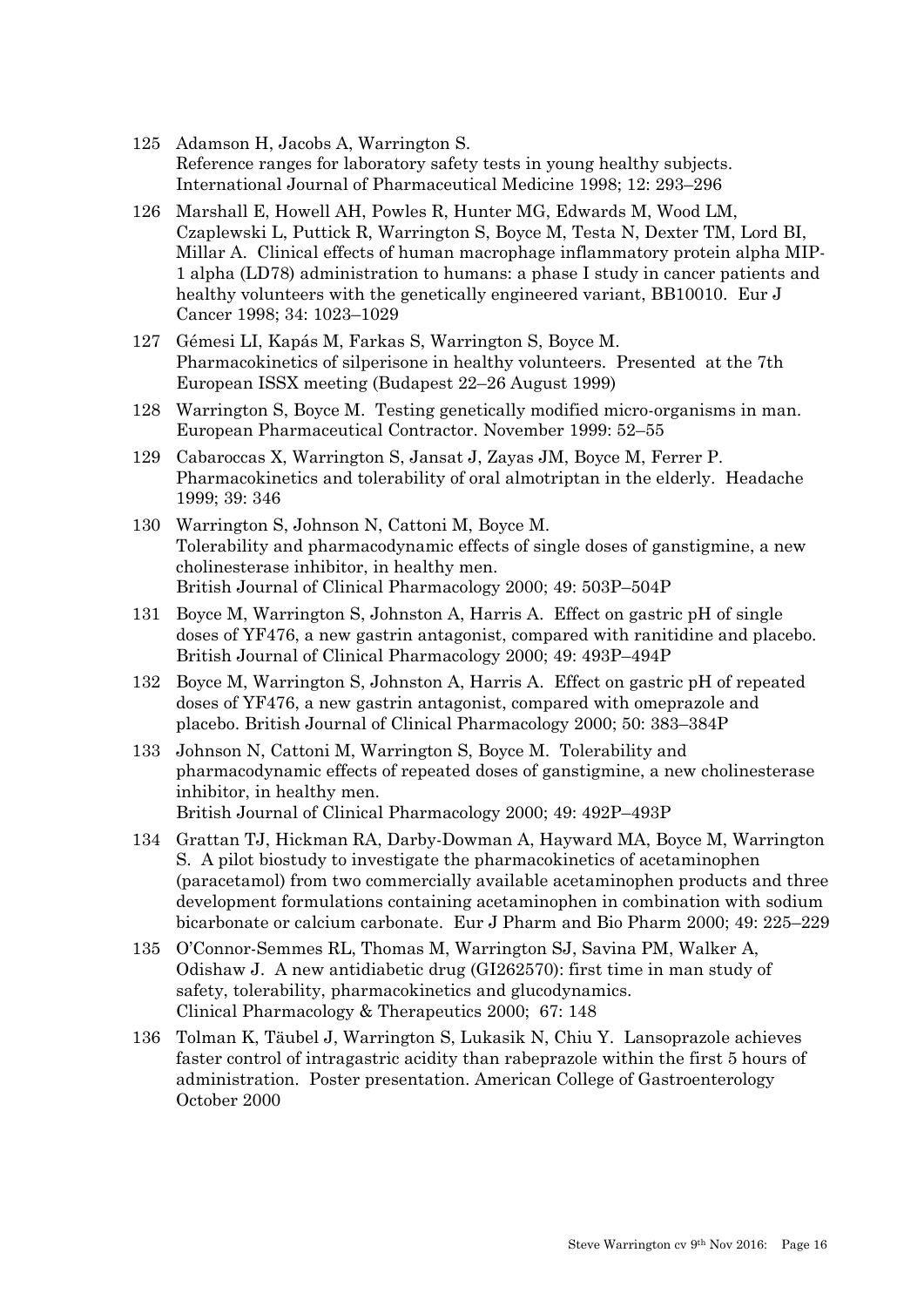- 125 Adamson H, Jacobs A, Warrington S. Reference ranges for laboratory safety tests in young healthy subjects. International Journal of Pharmaceutical Medicine 1998; 12: 293–296
- 126 Marshall E, Howell AH, Powles R, Hunter MG, Edwards M, Wood LM, Czaplewski L, Puttick R, Warrington S, Boyce M, Testa N, Dexter TM, Lord BI, Millar A. Clinical effects of human macrophage inflammatory protein alpha MIP-1 alpha (LD78) administration to humans: a phase I study in cancer patients and healthy volunteers with the genetically engineered variant, BB10010. Eur J Cancer 1998; 34: 1023–1029
- 127 Gémesi LI, Kapás M, Farkas S, Warrington S, Boyce M. Pharmacokinetics of silperisone in healthy volunteers. Presented at the 7th European ISSX meeting (Budapest 22–26 August 1999)
- 128 Warrington S, Boyce M. Testing genetically modified micro-organisms in man. European Pharmaceutical Contractor. November 1999: 52–55
- 129 Cabaroccas X, Warrington S, Jansat J, Zayas JM, Boyce M, Ferrer P. Pharmacokinetics and tolerability of oral almotriptan in the elderly. Headache 1999; 39: 346
- 130 Warrington S, Johnson N, Cattoni M, Boyce M. Tolerability and pharmacodynamic effects of single doses of ganstigmine, a new cholinesterase inhibitor, in healthy men. British Journal of Clinical Pharmacology 2000; 49: 503P–504P
- 131 Boyce M, Warrington S, Johnston A, Harris A. Effect on gastric pH of single doses of YF476, a new gastrin antagonist, compared with ranitidine and placebo. British Journal of Clinical Pharmacology 2000; 49: 493P–494P
- 132 Boyce M, Warrington S, Johnston A, Harris A. Effect on gastric pH of repeated doses of YF476, a new gastrin antagonist, compared with omeprazole and placebo. British Journal of Clinical Pharmacology 2000; 50: 383–384P
- 133 Johnson N, Cattoni M, Warrington S, Boyce M. Tolerability and pharmacodynamic effects of repeated doses of ganstigmine, a new cholinesterase inhibitor, in healthy men. British Journal of Clinical Pharmacology 2000; 49: 492P–493P
- 134 Grattan TJ, Hickman RA, Darby-Dowman A, Hayward MA, Boyce M, Warrington S. A pilot biostudy to investigate the pharmacokinetics of acetaminophen (paracetamol) from two commercially available acetaminophen products and three development formulations containing acetaminophen in combination with sodium bicarbonate or calcium carbonate. Eur J Pharm and Bio Pharm 2000; 49: 225–229
- 135 O'Connor-Semmes RL, Thomas M, Warrington SJ, Savina PM, Walker A, Odishaw J. A new antidiabetic drug (GI262570): first time in man study of safety, tolerability, pharmacokinetics and glucodynamics. Clinical Pharmacology & Therapeutics 2000; 67: 148
- 136 Tolman K, Täubel J, Warrington S, Lukasik N, Chiu Y. Lansoprazole achieves faster control of intragastric acidity than rabeprazole within the first 5 hours of administration. Poster presentation. American College of Gastroenterology October 2000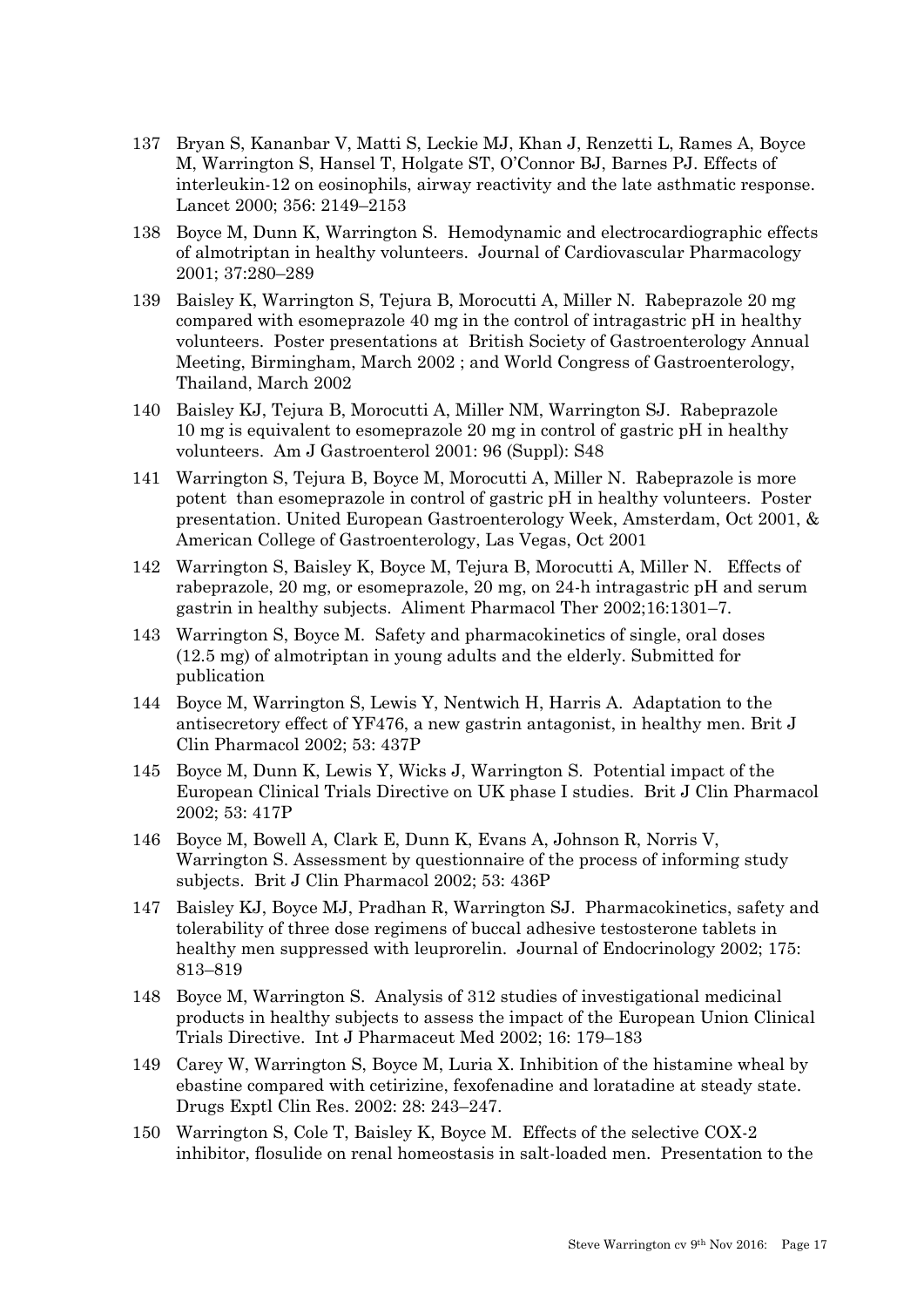- 137 Bryan S, Kananbar V, Matti S, Leckie MJ, Khan J, Renzetti L, Rames A, Boyce M, Warrington S, Hansel T, Holgate ST, O'Connor BJ, Barnes PJ. Effects of interleukin-12 on eosinophils, airway reactivity and the late asthmatic response. Lancet 2000; 356: 2149–2153
- 138 Boyce M, Dunn K, Warrington S. Hemodynamic and electrocardiographic effects of almotriptan in healthy volunteers. Journal of Cardiovascular Pharmacology 2001; 37:280–289
- 139 Baisley K, Warrington S, Tejura B, Morocutti A, Miller N. Rabeprazole 20 mg compared with esomeprazole 40 mg in the control of intragastric pH in healthy volunteers. Poster presentations at British Society of Gastroenterology Annual Meeting, Birmingham, March 2002 ; and World Congress of Gastroenterology, Thailand, March 2002
- 140 Baisley KJ, Tejura B, Morocutti A, Miller NM, Warrington SJ. Rabeprazole 10 mg is equivalent to esomeprazole 20 mg in control of gastric pH in healthy volunteers. Am J Gastroenterol 2001: 96 (Suppl): S48
- 141 Warrington S, Tejura B, Boyce M, Morocutti A, Miller N. Rabeprazole is more potent than esomeprazole in control of gastric pH in healthy volunteers. Poster presentation. United European Gastroenterology Week, Amsterdam, Oct 2001, & American College of Gastroenterology, Las Vegas, Oct 2001
- 142 Warrington S, Baisley K, Boyce M, Tejura B, Morocutti A, Miller N. Effects of rabeprazole, 20 mg, or esomeprazole, 20 mg, on 24-h intragastric pH and serum gastrin in healthy subjects. Aliment Pharmacol Ther 2002;16:1301–7.
- 143 Warrington S, Boyce M. Safety and pharmacokinetics of single, oral doses (12.5 mg) of almotriptan in young adults and the elderly. Submitted for publication
- 144 Boyce M, Warrington S, Lewis Y, Nentwich H, Harris A. Adaptation to the antisecretory effect of YF476, a new gastrin antagonist, in healthy men. Brit J Clin Pharmacol 2002; 53: 437P
- 145 Boyce M, Dunn K, Lewis Y, Wicks J, Warrington S. Potential impact of the European Clinical Trials Directive on UK phase I studies. Brit J Clin Pharmacol 2002; 53: 417P
- 146 Boyce M, Bowell A, Clark E, Dunn K, Evans A, Johnson R, Norris V, Warrington S. Assessment by questionnaire of the process of informing study subjects. Brit J Clin Pharmacol 2002; 53: 436P
- 147 Baisley KJ, Boyce MJ, Pradhan R, Warrington SJ. Pharmacokinetics, safety and tolerability of three dose regimens of buccal adhesive testosterone tablets in healthy men suppressed with leuprorelin. Journal of Endocrinology 2002; 175: 813–819
- 148 Boyce M, Warrington S. Analysis of 312 studies of investigational medicinal products in healthy subjects to assess the impact of the European Union Clinical Trials Directive. Int J Pharmaceut Med 2002; 16: 179–183
- 149 Carey W, Warrington S, Boyce M, Luria X. Inhibition of the histamine wheal by ebastine compared with cetirizine, fexofenadine and loratadine at steady state. Drugs Exptl Clin Res. 2002: 28: 243–247.
- 150 Warrington S, Cole T, Baisley K, Boyce M. Effects of the selective COX-2 inhibitor, flosulide on renal homeostasis in salt-loaded men. Presentation to the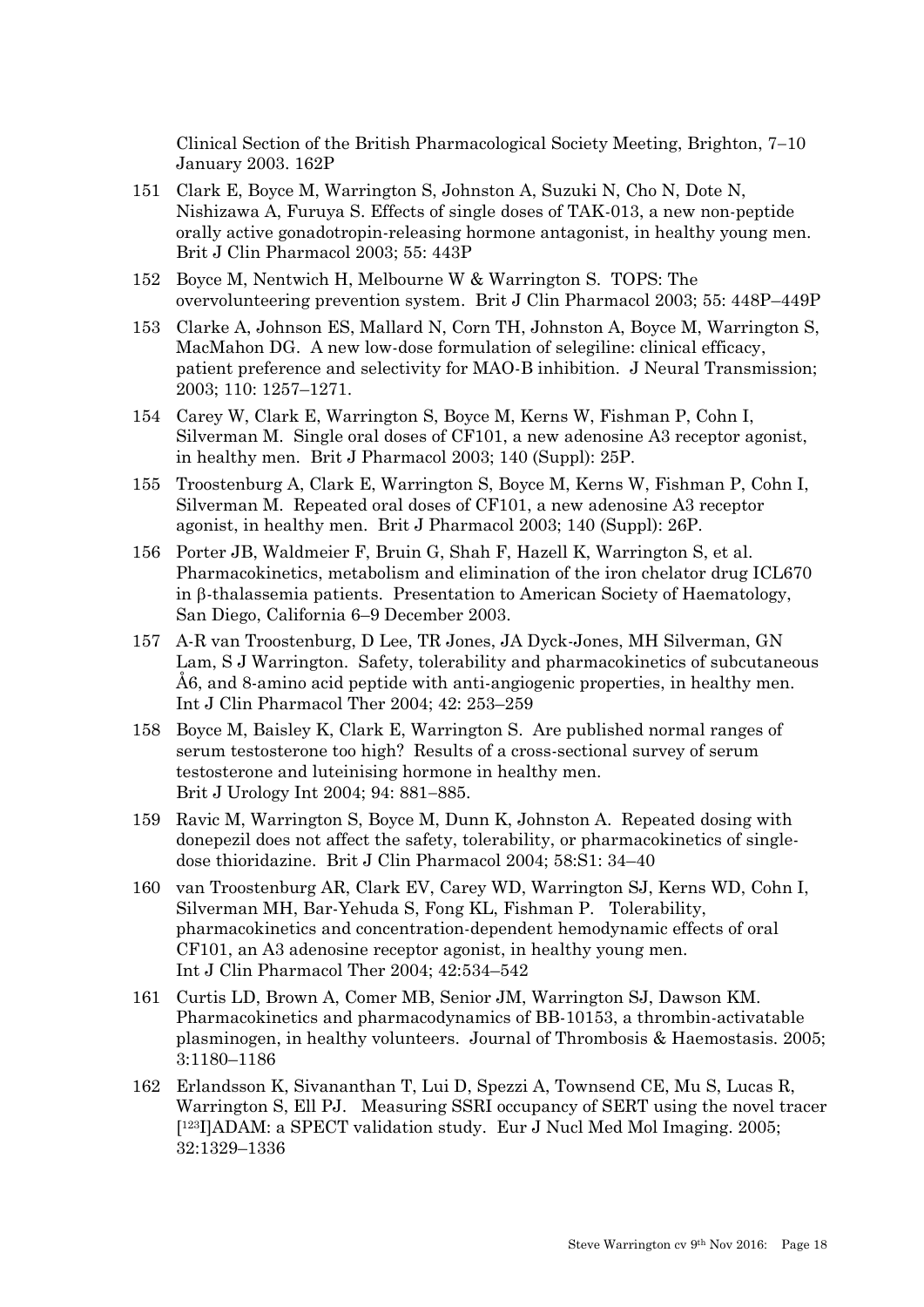Clinical Section of the British Pharmacological Society Meeting, Brighton,  $7-10$ January 2003. 162P

- 151 Clark E, Boyce M, Warrington S, Johnston A, Suzuki N, Cho N, Dote N, Nishizawa A, Furuya S. Effects of single doses of TAK-013, a new non-peptide orally active gonadotropin-releasing hormone antagonist, in healthy young men. Brit J Clin Pharmacol 2003; 55: 443P
- 152 Boyce M, Nentwich H, Melbourne W & Warrington S. TOPS: The overvolunteering prevention system. Brit J Clin Pharmacol 2003; 55: 448P–449P
- 153 Clarke A, Johnson ES, Mallard N, Corn TH, Johnston A, Boyce M, Warrington S, MacMahon DG. A new low-dose formulation of selegiline: clinical efficacy, patient preference and selectivity for MAO-B inhibition. J Neural Transmission; 2003; 110: 1257–1271.
- 154 Carey W, Clark E, Warrington S, Boyce M, Kerns W, Fishman P, Cohn I, Silverman M. Single oral doses of CF101, a new adenosine A3 receptor agonist, in healthy men. Brit J Pharmacol 2003; 140 (Suppl): 25P.
- 155 Troostenburg A, Clark E, Warrington S, Boyce M, Kerns W, Fishman P, Cohn I, Silverman M. Repeated oral doses of CF101, a new adenosine A3 receptor agonist, in healthy men. Brit J Pharmacol 2003; 140 (Suppl): 26P.
- 156 Porter JB, Waldmeier F, Bruin G, Shah F, Hazell K, Warrington S, et al. Pharmacokinetics, metabolism and elimination of the iron chelator drug ICL670 in  $\beta$ -thalassemia patients. Presentation to American Society of Haematology, San Diego, California 6–9 December 2003.
- 157 A-R van Troostenburg, D Lee, TR Jones, JA Dyck-Jones, MH Silverman, GN Lam, S J Warrington. Safety, tolerability and pharmacokinetics of subcutaneous Å6, and 8-amino acid peptide with anti-angiogenic properties, in healthy men. Int J Clin Pharmacol Ther 2004; 42: 253–259
- 158 Boyce M, Baisley K, Clark E, Warrington S. Are published normal ranges of serum testosterone too high? Results of a cross-sectional survey of serum testosterone and luteinising hormone in healthy men. Brit J Urology Int 2004; 94: 881-885.
- 159 Ravic M, Warrington S, Boyce M, Dunn K, Johnston A. Repeated dosing with donepezil does not affect the safety, tolerability, or pharmacokinetics of singledose thioridazine. Brit J Clin Pharmacol 2004; 58:S1: 34–40
- 160 van Troostenburg AR, Clark EV, Carey WD, Warrington SJ, Kerns WD, Cohn I, Silverman MH, Bar-Yehuda S, Fong KL, Fishman P. Tolerability, pharmacokinetics and concentration-dependent hemodynamic effects of oral CF101, an A3 adenosine receptor agonist, in healthy young men. Int J Clin Pharmacol Ther 2004; 42:534–542
- 161 Curtis LD, Brown A, Comer MB, Senior JM, Warrington SJ, Dawson KM. Pharmacokinetics and pharmacodynamics of BB-10153, a thrombin-activatable plasminogen, in healthy volunteers. Journal of Thrombosis & Haemostasis. 2005; 3:1180–1186
- 162 Erlandsson K, Sivananthan T, Lui D, Spezzi A, Townsend CE, Mu S, Lucas R, Warrington S, Ell PJ. Measuring SSRI occupancy of SERT using the novel tracer [ <sup>123</sup>I]ADAM: a SPECT validation study. Eur J Nucl Med Mol Imaging. 2005; 32:1329–1336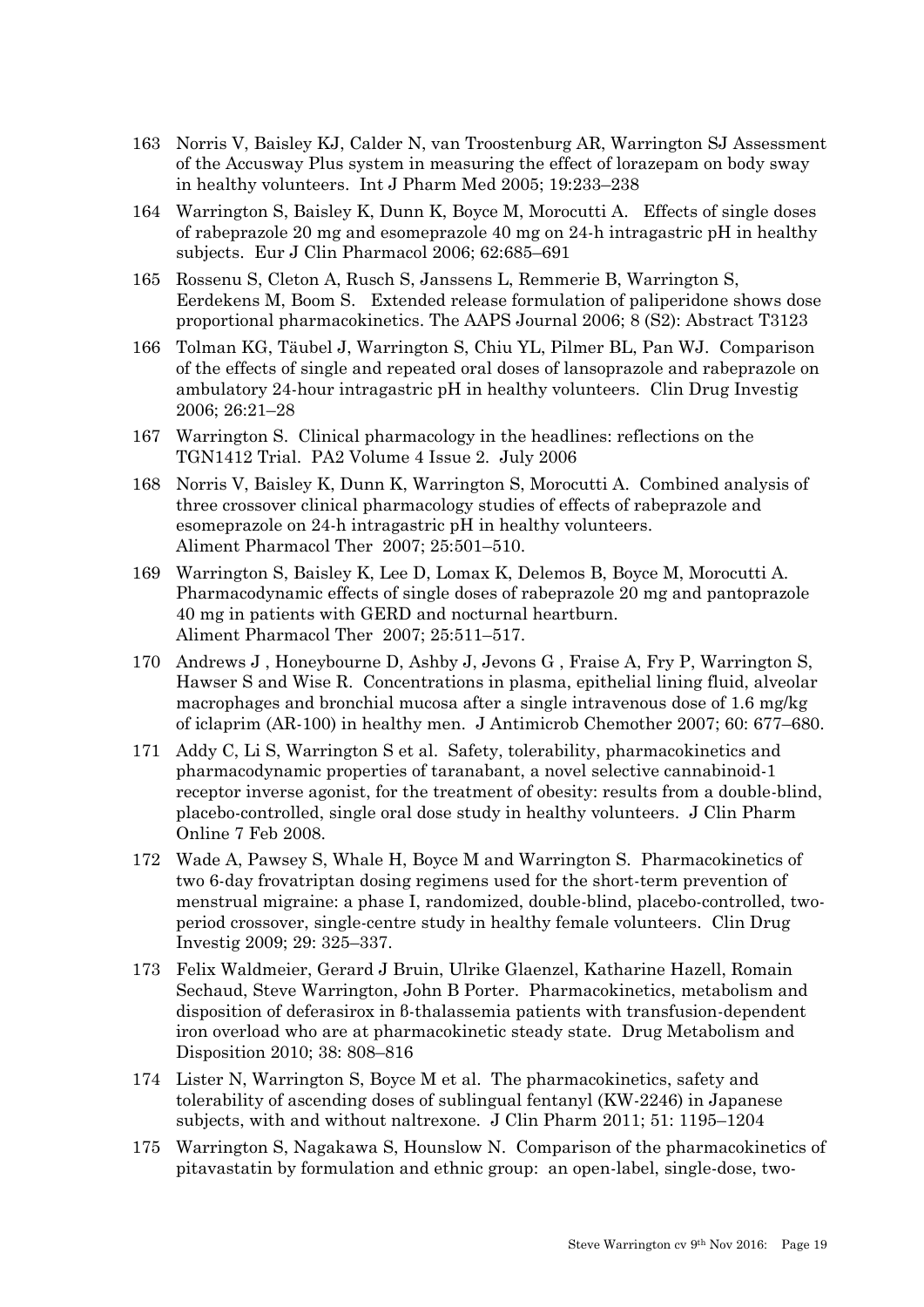- 163 Norris V, Baisley KJ, Calder N, van Troostenburg AR, Warrington SJ Assessment of the Accusway Plus system in measuring the effect of lorazepam on body sway in healthy volunteers. Int J Pharm Med 2005; 19:233–238
- 164 Warrington S, Baisley K, Dunn K, Boyce M, Morocutti A. Effects of single doses of rabeprazole 20 mg and esomeprazole 40 mg on 24-h intragastric pH in healthy subjects. Eur J Clin Pharmacol 2006; 62:685–691
- 165 Rossenu S, Cleton A, Rusch S, Janssens L, Remmerie B, Warrington S, Eerdekens M, Boom S. Extended release formulation of paliperidone shows dose proportional pharmacokinetics. The AAPS Journal 2006; 8 (S2): Abstract T3123
- 166 Tolman KG, Täubel J, Warrington S, Chiu YL, Pilmer BL, Pan WJ. Comparison of the effects of single and repeated oral doses of lansoprazole and rabeprazole on ambulatory 24-hour intragastric pH in healthy volunteers. Clin Drug Investig 2006; 26:21–28
- 167 Warrington S. Clinical pharmacology in the headlines: reflections on the TGN1412 Trial. PA2 Volume 4 Issue 2. July 2006
- 168 Norris V, Baisley K, Dunn K, Warrington S, Morocutti A. Combined analysis of three crossover clinical pharmacology studies of effects of rabeprazole and esomeprazole on 24-h intragastric pH in healthy volunteers. Aliment Pharmacol Ther 2007; 25:501–510.
- 169 Warrington S, Baisley K, Lee D, Lomax K, Delemos B, Boyce M, Morocutti A. Pharmacodynamic effects of single doses of rabeprazole 20 mg and pantoprazole 40 mg in patients with GERD and nocturnal heartburn. Aliment Pharmacol Ther 2007; 25:511–517.
- 170 Andrews J , Honeybourne D, Ashby J, Jevons G , Fraise A, Fry P, Warrington S, Hawser S and Wise R. Concentrations in plasma, epithelial lining fluid, alveolar macrophages and bronchial mucosa after a single intravenous dose of 1.6 mg/kg of iclaprim (AR-100) in healthy men. J Antimicrob Chemother 2007; 60: 677–680.
- 171 Addy C, Li S, Warrington S et al. Safety, tolerability, pharmacokinetics and pharmacodynamic properties of taranabant, a novel selective cannabinoid-1 receptor inverse agonist, for the treatment of obesity: results from a double-blind, placebo-controlled, single oral dose study in healthy volunteers. J Clin Pharm Online 7 Feb 2008.
- 172 Wade A, Pawsey S, Whale H, Boyce M and Warrington S. Pharmacokinetics of two 6-day frovatriptan dosing regimens used for the short-term prevention of menstrual migraine: a phase I, randomized, double-blind, placebo-controlled, twoperiod crossover, single-centre study in healthy female volunteers. Clin Drug Investig 2009; 29: 325–337.
- 173 Felix Waldmeier, Gerard J Bruin, Ulrike Glaenzel, Katharine Hazell, Romain Sechaud, Steve Warrington, John B Porter. Pharmacokinetics, metabolism and disposition of deferasirox in β-thalassemia patients with transfusion-dependent iron overload who are at pharmacokinetic steady state. Drug Metabolism and Disposition 2010; 38: 808–816
- 174 Lister N, Warrington S, Boyce M et al. The pharmacokinetics, safety and tolerability of ascending doses of sublingual fentanyl (KW-2246) in Japanese subjects, with and without naltrexone. J Clin Pharm 2011; 51: 1195–1204
- 175 Warrington S, Nagakawa S, Hounslow N. Comparison of the pharmacokinetics of pitavastatin by formulation and ethnic group: an open-label, single-dose, two-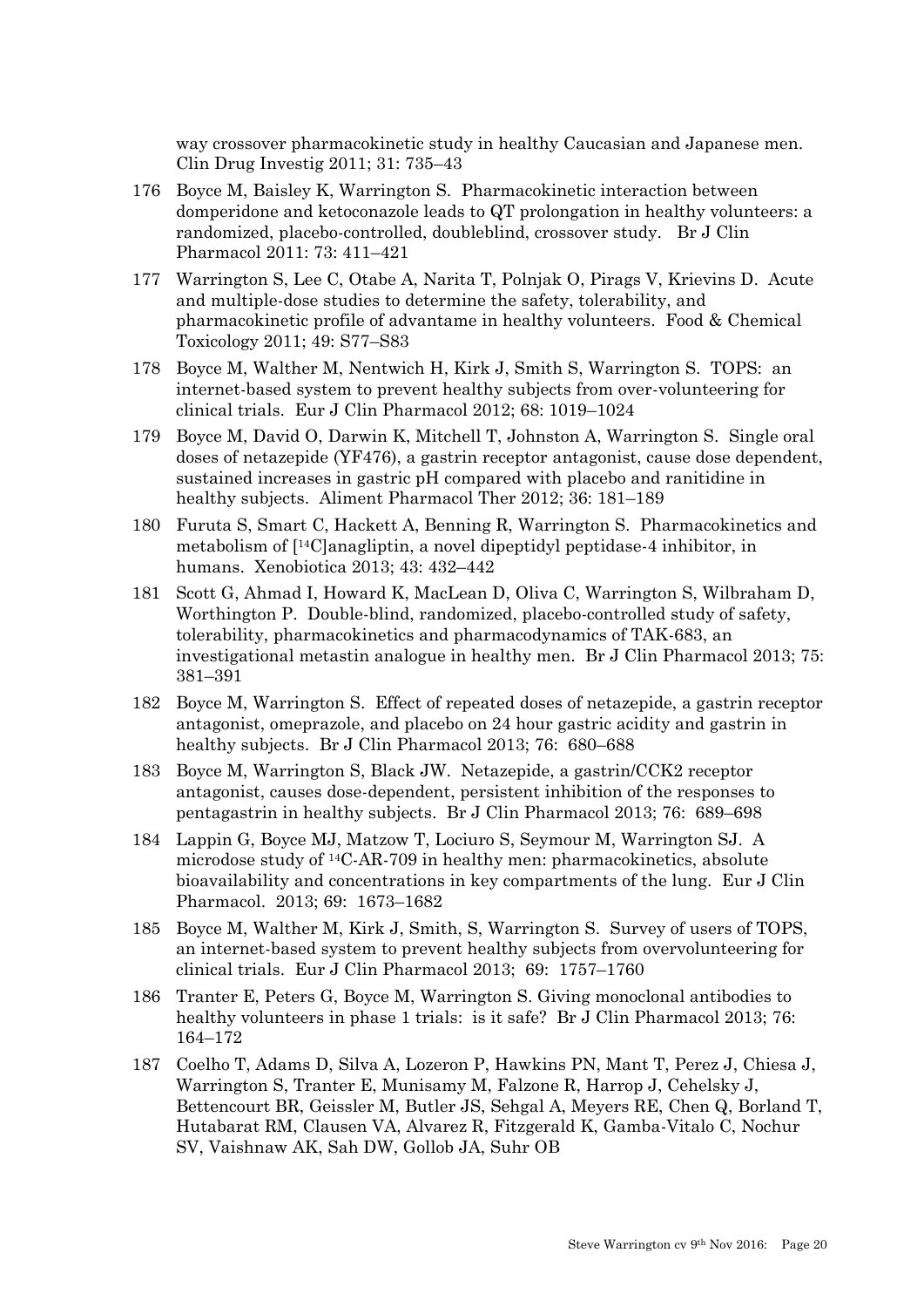way crossover pharmacokinetic study in healthy Caucasian and Japanese men. Clin Drug Investig 2011; 31: 735–43

- 176 Boyce M, Baisley K, Warrington S. Pharmacokinetic interaction between domperidone and ketoconazole leads to QT prolongation in healthy volunteers: a randomized, placebo-controlled, doubleblind, crossover study. Br J Clin Pharmacol 2011: 73: 411–421
- 177 Warrington S, Lee C, Otabe A, Narita T, Polnjak O, Pirags V, Krievins D. Acute and multiple-dose studies to determine the safety, tolerability, and pharmacokinetic profile of advantame in healthy volunteers. Food & Chemical Toxicology 2011; 49: S77–S83
- 178 Boyce M, Walther M, Nentwich H, Kirk J, Smith S, Warrington S. TOPS: an internet-based system to prevent healthy subjects from over-volunteering for clinical trials. Eur J Clin Pharmacol 2012; 68: 1019–1024
- 179 Boyce M, David O, Darwin K, Mitchell T, Johnston A, Warrington S. Single oral doses of netazepide (YF476), a gastrin receptor antagonist, cause dose dependent, sustained increases in gastric pH compared with placebo and ranitidine in healthy subjects. Aliment Pharmacol Ther 2012; 36: 181–189
- 180 Furuta S, Smart C, Hackett A, Benning R, Warrington S. Pharmacokinetics and metabolism of [14C]anagliptin, a novel dipeptidyl peptidase-4 inhibitor, in humans. Xenobiotica 2013; 43: 432–442
- 181 [Scott G,](http://www.ncbi.nlm.nih.gov/pubmed?term=Scott%20G%5BAuthor%5D&cauthor=true&cauthor_uid=22803642) [Ahmad I,](http://www.ncbi.nlm.nih.gov/pubmed?term=Ahmad%20I%5BAuthor%5D&cauthor=true&cauthor_uid=22803642) [Howard K,](http://www.ncbi.nlm.nih.gov/pubmed?term=Howard%20K%5BAuthor%5D&cauthor=true&cauthor_uid=22803642) [MacLean D,](http://www.ncbi.nlm.nih.gov/pubmed?term=MacLean%20D%5BAuthor%5D&cauthor=true&cauthor_uid=22803642) [Oliva C,](http://www.ncbi.nlm.nih.gov/pubmed?term=Oliva%20C%5BAuthor%5D&cauthor=true&cauthor_uid=22803642) [Warrington S,](http://www.ncbi.nlm.nih.gov/pubmed?term=Warrington%20S%5BAuthor%5D&cauthor=true&cauthor_uid=22803642) [Wilbraham D,](http://www.ncbi.nlm.nih.gov/pubmed?term=Wilbraham%20D%5BAuthor%5D&cauthor=true&cauthor_uid=22803642) [Worthington P.](http://www.ncbi.nlm.nih.gov/pubmed?term=Worthington%20P%5BAuthor%5D&cauthor=true&cauthor_uid=22803642) Double-blind, randomized, placebo-controlled study of safety, tolerability, pharmacokinetics and pharmacodynamics of TAK-683, an investigational metastin analogue in healthy men. [Br](http://www.ncbi.nlm.nih.gov/pubmed/22803642) J Clin Pharmacol 2013; 75: 381–391
- 182 Boyce M, Warrington S. Effect of repeated doses of netazepide, a gastrin receptor antagonist, omeprazole, and placebo on 24 hour gastric acidity and gastrin in healthy subjects. Br J Clin Pharmacol 2013; 76: 680–688
- 183 Boyce M, Warrington S, Black JW. Netazepide, a gastrin/CCK2 receptor antagonist, causes dose-dependent, persistent inhibition of the responses to pentagastrin in healthy subjects. Br J Clin Pharmacol 2013; 76: 689–698
- 184 Lappin G, Boyce MJ, Matzow T, Lociuro S, Seymour M, Warrington SJ. A microdose study of 14C-AR-709 in healthy men: pharmacokinetics, absolute bioavailability and concentrations in key compartments of the lung. Eur J Clin Pharmacol. 2013; 69: 1673–1682
- 185 Boyce M, Walther M, Kirk J, Smith, S, Warrington S. Survey of users of TOPS, an internet-based system to prevent healthy subjects from overvolunteering for clinical trials. Eur J Clin Pharmacol 2013; 69: 1757–1760
- 186 Tranter E, Peters G, Boyce M, Warrington S. Giving monoclonal antibodies to healthy volunteers in phase 1 trials: is it safe? Br J Clin Pharmacol 2013; 76: 164–172
- 187 Coelho T, Adams D, Silva A, Lozeron P, Hawkins PN, Mant T, Perez J, Chiesa J, Warrington S, Tranter E, Munisamy M, Falzone R, Harrop J, Cehelsky J, Bettencourt BR, Geissler M, Butler JS, Sehgal A, Meyers RE, Chen Q, Borland T, Hutabarat RM, Clausen VA, Alvarez R, Fitzgerald K, Gamba-Vitalo C, Nochur SV, Vaishnaw AK, Sah DW, Gollob JA, Suhr OB